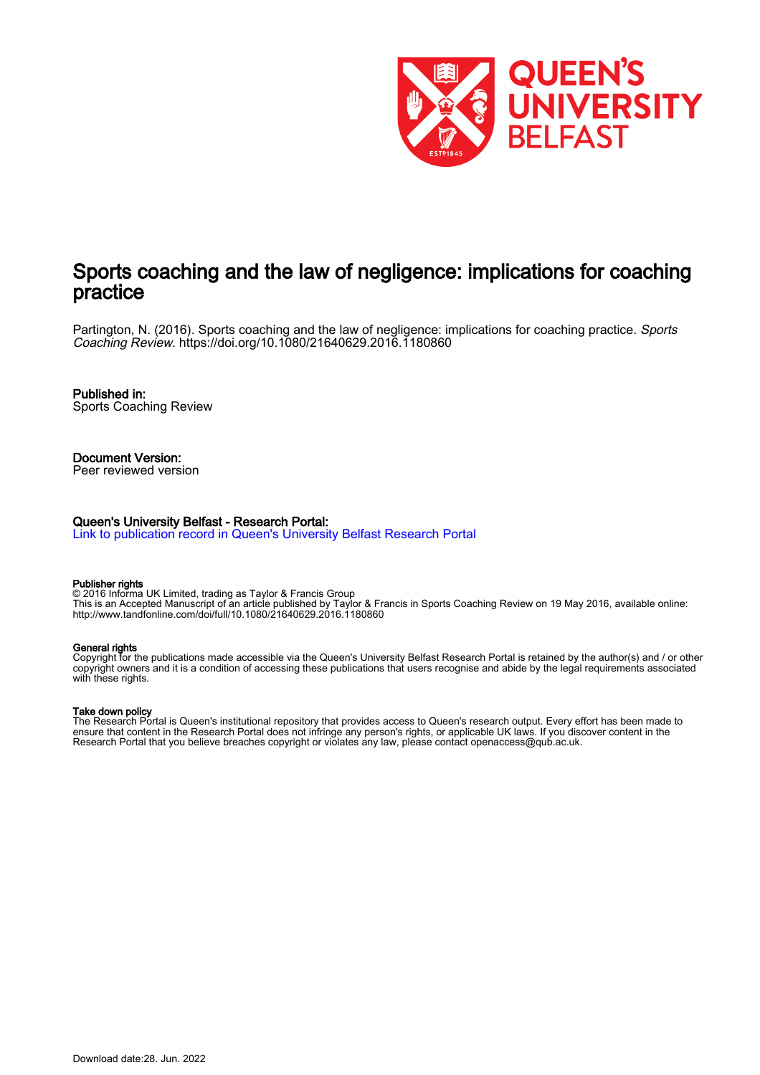

# Sports coaching and the law of negligence: implications for coaching practice

Partington, N. (2016). Sports coaching and the law of negligence: implications for coaching practice. Sports Coaching Review.<https://doi.org/10.1080/21640629.2016.1180860>

Published in: Sports Coaching Review

Document Version: Peer reviewed version

#### Queen's University Belfast - Research Portal:

[Link to publication record in Queen's University Belfast Research Portal](https://pure.qub.ac.uk/en/publications/2a394e7f-b430-4da6-8977-bb0884723f2b)

#### Publisher rights

© 2016 Informa UK Limited, trading as Taylor & Francis Group This is an Accepted Manuscript of an article published by Taylor & Francis in Sports Coaching Review on 19 May 2016, available online: http://www.tandfonline.com/doi/full/10.1080/21640629.2016.1180860

#### General rights

Copyright for the publications made accessible via the Queen's University Belfast Research Portal is retained by the author(s) and / or other copyright owners and it is a condition of accessing these publications that users recognise and abide by the legal requirements associated with these rights.

#### Take down policy

The Research Portal is Queen's institutional repository that provides access to Queen's research output. Every effort has been made to ensure that content in the Research Portal does not infringe any person's rights, or applicable UK laws. If you discover content in the Research Portal that you believe breaches copyright or violates any law, please contact openaccess@qub.ac.uk.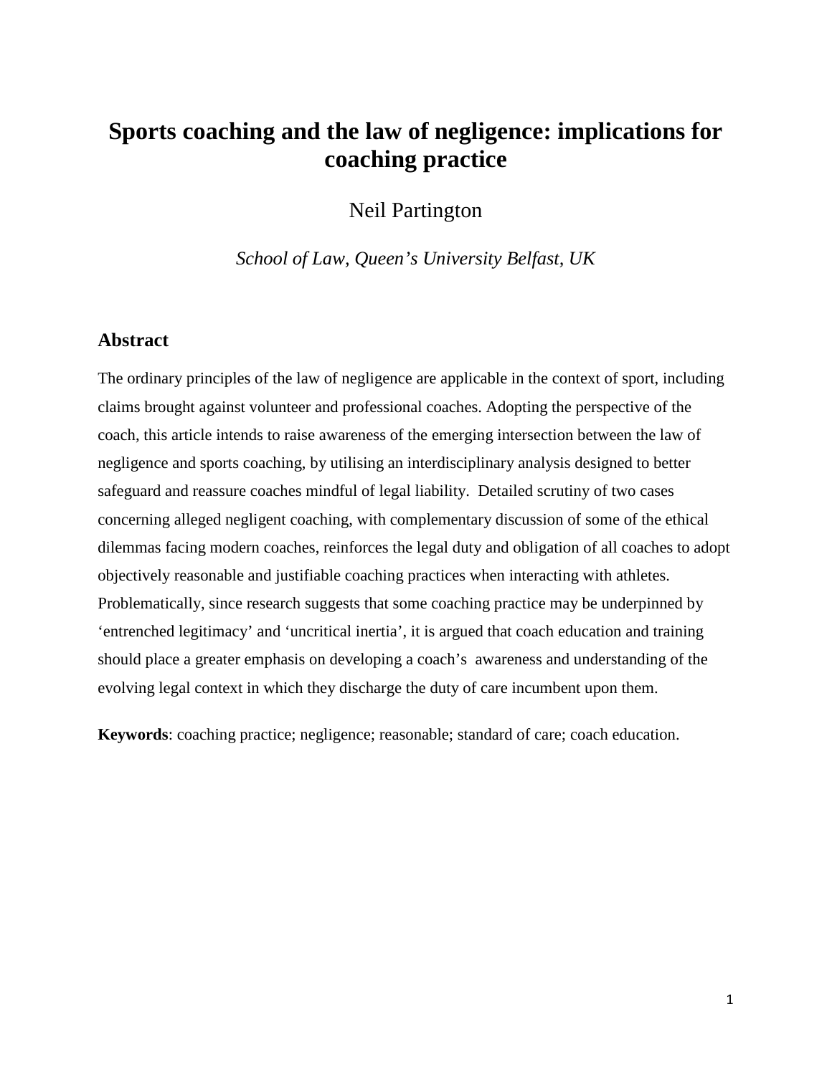# **Sports coaching and the law of negligence: implications for coaching practice**

Neil Partington

*School of Law, Queen's University Belfast, UK*

# **Abstract**

The ordinary principles of the law of negligence are applicable in the context of sport, including claims brought against volunteer and professional coaches. Adopting the perspective of the coach, this article intends to raise awareness of the emerging intersection between the law of negligence and sports coaching, by utilising an interdisciplinary analysis designed to better safeguard and reassure coaches mindful of legal liability. Detailed scrutiny of two cases concerning alleged negligent coaching, with complementary discussion of some of the ethical dilemmas facing modern coaches, reinforces the legal duty and obligation of all coaches to adopt objectively reasonable and justifiable coaching practices when interacting with athletes. Problematically, since research suggests that some coaching practice may be underpinned by 'entrenched legitimacy' and 'uncritical inertia', it is argued that coach education and training should place a greater emphasis on developing a coach's awareness and understanding of the evolving legal context in which they discharge the duty of care incumbent upon them.

**Keywords**: coaching practice; negligence; reasonable; standard of care; coach education.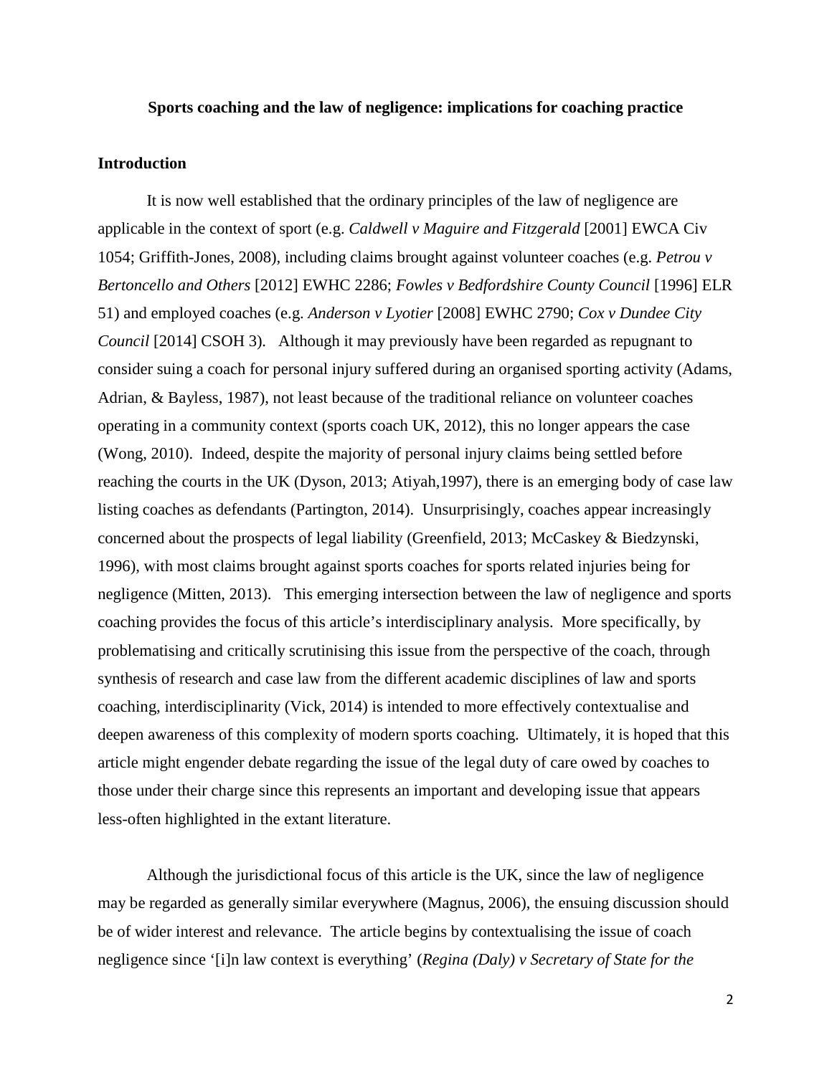#### **Sports coaching and the law of negligence: implications for coaching practice**

#### **Introduction**

It is now well established that the ordinary principles of the law of negligence are applicable in the context of sport (e.g. *Caldwell v Maguire and Fitzgerald* [2001] EWCA Civ 1054; Griffith-Jones, 2008), including claims brought against volunteer coaches (e.g. *Petrou v Bertoncello and Others* [2012] EWHC 2286; *Fowles v Bedfordshire County Council* [1996] ELR 51) and employed coaches (e.g. *Anderson v Lyotier* [2008] EWHC 2790; *Cox v Dundee City Council* [2014] CSOH 3). Although it may previously have been regarded as repugnant to consider suing a coach for personal injury suffered during an organised sporting activity (Adams, Adrian, & Bayless, 1987), not least because of the traditional reliance on volunteer coaches operating in a community context (sports coach UK, 2012), this no longer appears the case (Wong, 2010). Indeed, despite the majority of personal injury claims being settled before reaching the courts in the UK (Dyson, 2013; Atiyah,1997), there is an emerging body of case law listing coaches as defendants (Partington, 2014). Unsurprisingly, coaches appear increasingly concerned about the prospects of legal liability (Greenfield, 2013; McCaskey & Biedzynski, 1996), with most claims brought against sports coaches for sports related injuries being for negligence (Mitten, 2013). This emerging intersection between the law of negligence and sports coaching provides the focus of this article's interdisciplinary analysis. More specifically, by problematising and critically scrutinising this issue from the perspective of the coach, through synthesis of research and case law from the different academic disciplines of law and sports coaching, interdisciplinarity (Vick, 2014) is intended to more effectively contextualise and deepen awareness of this complexity of modern sports coaching. Ultimately, it is hoped that this article might engender debate regarding the issue of the legal duty of care owed by coaches to those under their charge since this represents an important and developing issue that appears less-often highlighted in the extant literature.

Although the jurisdictional focus of this article is the UK, since the law of negligence may be regarded as generally similar everywhere (Magnus, 2006), the ensuing discussion should be of wider interest and relevance. The article begins by contextualising the issue of coach negligence since '[i]n law context is everything' (*Regina (Daly) v Secretary of State for the*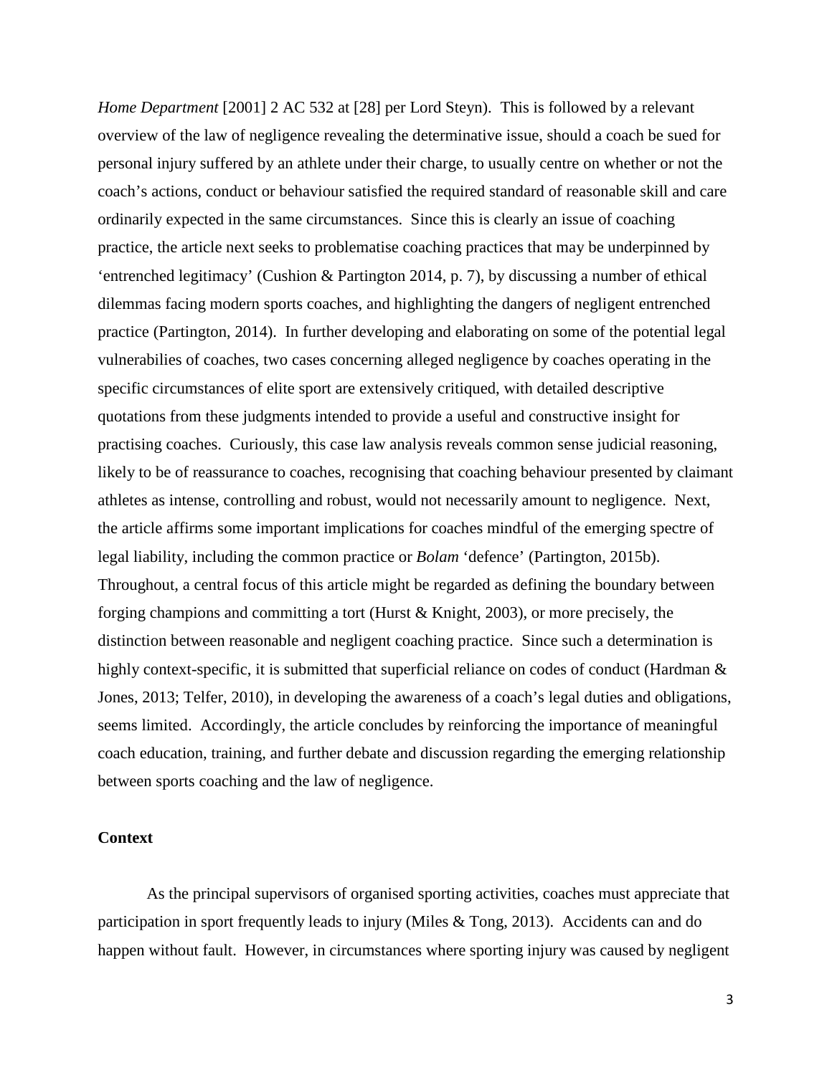*Home Department* [2001] 2 AC 532 at [28] per Lord Steyn). This is followed by a relevant overview of the law of negligence revealing the determinative issue, should a coach be sued for personal injury suffered by an athlete under their charge, to usually centre on whether or not the coach's actions, conduct or behaviour satisfied the required standard of reasonable skill and care ordinarily expected in the same circumstances. Since this is clearly an issue of coaching practice, the article next seeks to problematise coaching practices that may be underpinned by 'entrenched legitimacy' (Cushion & Partington 2014, p. 7), by discussing a number of ethical dilemmas facing modern sports coaches, and highlighting the dangers of negligent entrenched practice (Partington, 2014). In further developing and elaborating on some of the potential legal vulnerabilies of coaches, two cases concerning alleged negligence by coaches operating in the specific circumstances of elite sport are extensively critiqued, with detailed descriptive quotations from these judgments intended to provide a useful and constructive insight for practising coaches. Curiously, this case law analysis reveals common sense judicial reasoning, likely to be of reassurance to coaches, recognising that coaching behaviour presented by claimant athletes as intense, controlling and robust, would not necessarily amount to negligence. Next, the article affirms some important implications for coaches mindful of the emerging spectre of legal liability, including the common practice or *Bolam* 'defence' (Partington, 2015b). Throughout, a central focus of this article might be regarded as defining the boundary between forging champions and committing a tort (Hurst & Knight, 2003), or more precisely, the distinction between reasonable and negligent coaching practice. Since such a determination is highly context-specific, it is submitted that superficial reliance on codes of conduct (Hardman  $\&$ Jones, 2013; Telfer, 2010), in developing the awareness of a coach's legal duties and obligations, seems limited. Accordingly, the article concludes by reinforcing the importance of meaningful coach education, training, and further debate and discussion regarding the emerging relationship between sports coaching and the law of negligence.

# **Context**

As the principal supervisors of organised sporting activities, coaches must appreciate that participation in sport frequently leads to injury (Miles & Tong, 2013). Accidents can and do happen without fault. However, in circumstances where sporting injury was caused by negligent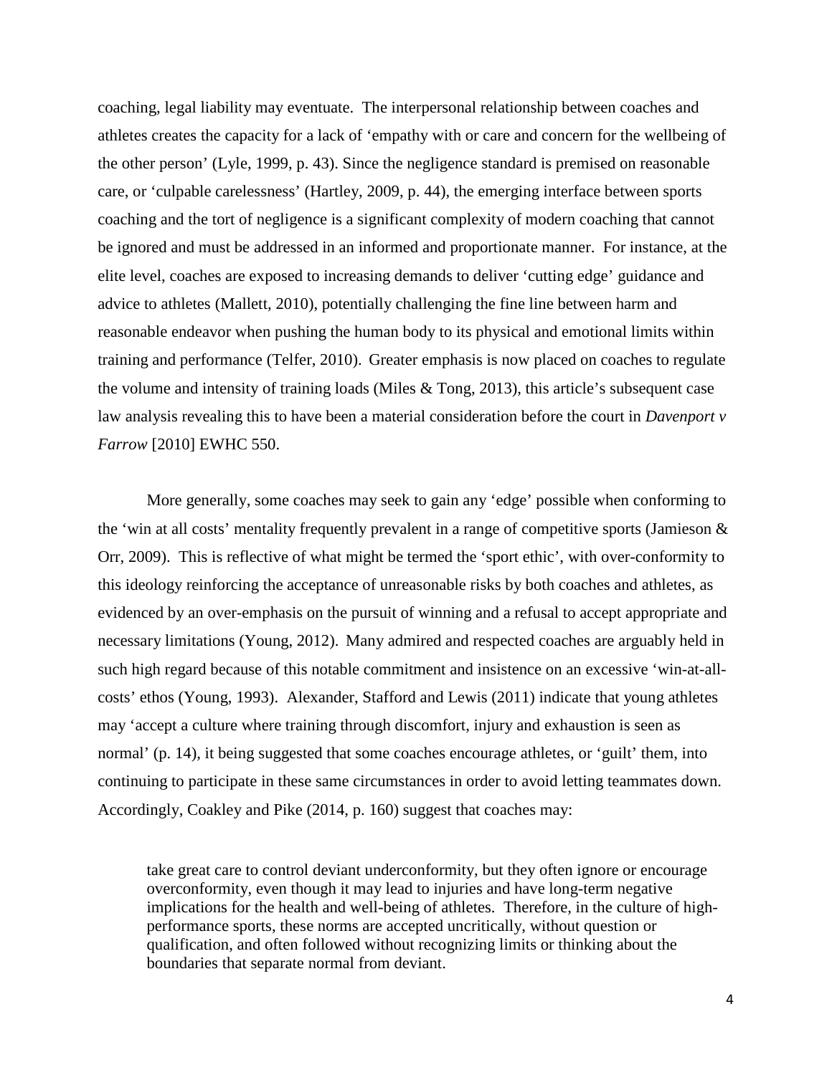coaching, legal liability may eventuate. The interpersonal relationship between coaches and athletes creates the capacity for a lack of 'empathy with or care and concern for the wellbeing of the other person' (Lyle, 1999, p. 43). Since the negligence standard is premised on reasonable care, or 'culpable carelessness' (Hartley, 2009, p. 44), the emerging interface between sports coaching and the tort of negligence is a significant complexity of modern coaching that cannot be ignored and must be addressed in an informed and proportionate manner. For instance, at the elite level, coaches are exposed to increasing demands to deliver 'cutting edge' guidance and advice to athletes (Mallett, 2010), potentially challenging the fine line between harm and reasonable endeavor when pushing the human body to its physical and emotional limits within training and performance (Telfer, 2010). Greater emphasis is now placed on coaches to regulate the volume and intensity of training loads (Miles & Tong, 2013), this article's subsequent case law analysis revealing this to have been a material consideration before the court in *Davenport v Farrow* [2010] EWHC 550.

More generally, some coaches may seek to gain any 'edge' possible when conforming to the 'win at all costs' mentality frequently prevalent in a range of competitive sports (Jamieson & Orr, 2009). This is reflective of what might be termed the 'sport ethic', with over-conformity to this ideology reinforcing the acceptance of unreasonable risks by both coaches and athletes, as evidenced by an over-emphasis on the pursuit of winning and a refusal to accept appropriate and necessary limitations (Young, 2012). Many admired and respected coaches are arguably held in such high regard because of this notable commitment and insistence on an excessive 'win-at-allcosts' ethos (Young, 1993). Alexander, Stafford and Lewis (2011) indicate that young athletes may 'accept a culture where training through discomfort, injury and exhaustion is seen as normal' (p. 14), it being suggested that some coaches encourage athletes, or 'guilt' them, into continuing to participate in these same circumstances in order to avoid letting teammates down. Accordingly, Coakley and Pike (2014, p. 160) suggest that coaches may:

take great care to control deviant underconformity, but they often ignore or encourage overconformity, even though it may lead to injuries and have long-term negative implications for the health and well-being of athletes. Therefore, in the culture of highperformance sports, these norms are accepted uncritically, without question or qualification, and often followed without recognizing limits or thinking about the boundaries that separate normal from deviant.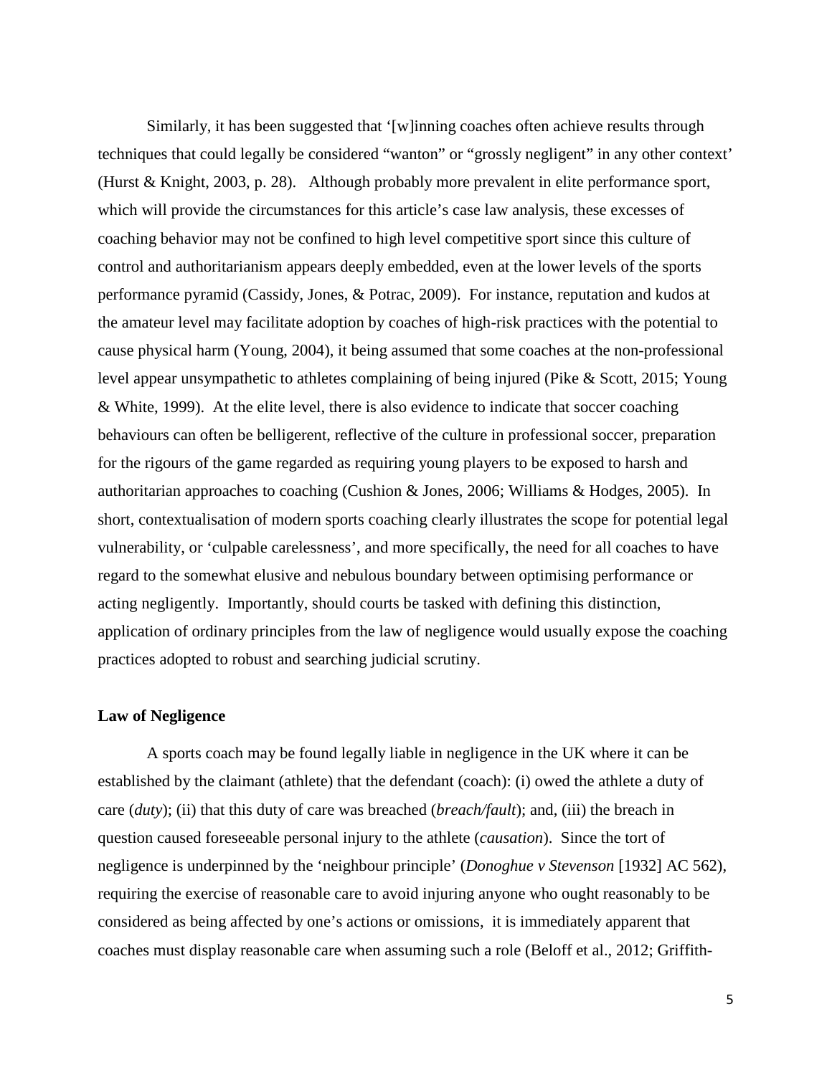Similarly, it has been suggested that '[w]inning coaches often achieve results through techniques that could legally be considered "wanton" or "grossly negligent" in any other context' (Hurst & Knight, 2003, p. 28). Although probably more prevalent in elite performance sport, which will provide the circumstances for this article's case law analysis, these excesses of coaching behavior may not be confined to high level competitive sport since this culture of control and authoritarianism appears deeply embedded, even at the lower levels of the sports performance pyramid (Cassidy, Jones, & Potrac, 2009). For instance, reputation and kudos at the amateur level may facilitate adoption by coaches of high-risk practices with the potential to cause physical harm (Young, 2004), it being assumed that some coaches at the non-professional level appear unsympathetic to athletes complaining of being injured (Pike & Scott, 2015; Young & White, 1999). At the elite level, there is also evidence to indicate that soccer coaching behaviours can often be belligerent, reflective of the culture in professional soccer, preparation for the rigours of the game regarded as requiring young players to be exposed to harsh and authoritarian approaches to coaching (Cushion & Jones, 2006; Williams & Hodges, 2005). In short, contextualisation of modern sports coaching clearly illustrates the scope for potential legal vulnerability, or 'culpable carelessness', and more specifically, the need for all coaches to have regard to the somewhat elusive and nebulous boundary between optimising performance or acting negligently. Importantly, should courts be tasked with defining this distinction, application of ordinary principles from the law of negligence would usually expose the coaching practices adopted to robust and searching judicial scrutiny.

## **Law of Negligence**

A sports coach may be found legally liable in negligence in the UK where it can be established by the claimant (athlete) that the defendant (coach): (i) owed the athlete a duty of care (*duty*); (ii) that this duty of care was breached (*breach/fault*); and, (iii) the breach in question caused foreseeable personal injury to the athlete (*causation*). Since the tort of negligence is underpinned by the 'neighbour principle' (*Donoghue v Stevenson* [1932] AC 562), requiring the exercise of reasonable care to avoid injuring anyone who ought reasonably to be considered as being affected by one's actions or omissions, it is immediately apparent that coaches must display reasonable care when assuming such a role (Beloff et al., 2012; Griffith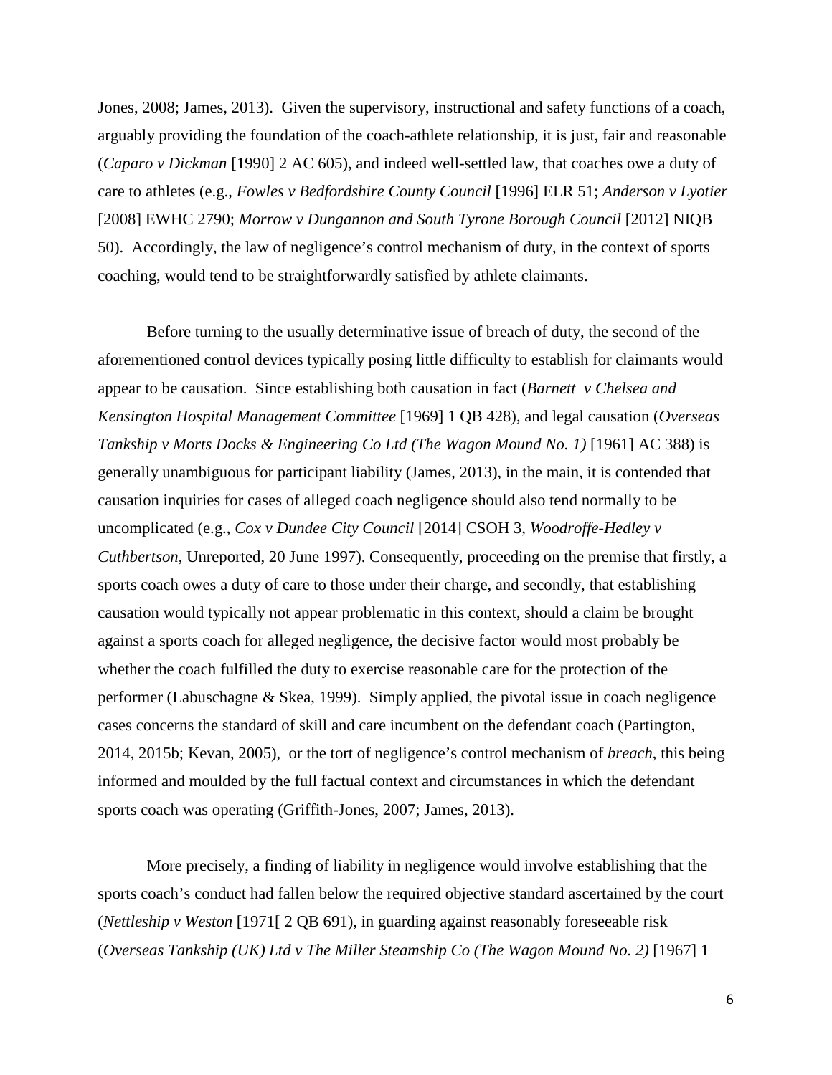Jones, 2008; James, 2013). Given the supervisory, instructional and safety functions of a coach, arguably providing the foundation of the coach-athlete relationship, it is just, fair and reasonable (*Caparo v Dickman* [1990] 2 AC 605), and indeed well-settled law, that coaches owe a duty of care to athletes (e.g., *Fowles v Bedfordshire County Council* [1996] ELR 51; *Anderson v Lyotier*  [2008] EWHC 2790; *Morrow v Dungannon and South Tyrone Borough Council* [2012] NIQB 50). Accordingly, the law of negligence's control mechanism of duty, in the context of sports coaching, would tend to be straightforwardly satisfied by athlete claimants.

Before turning to the usually determinative issue of breach of duty, the second of the aforementioned control devices typically posing little difficulty to establish for claimants would appear to be causation. Since establishing both causation in fact (*Barnett v Chelsea and Kensington Hospital Management Committee* [1969] 1 QB 428), and legal causation (*Overseas Tankship v Morts Docks & Engineering Co Ltd (The Wagon Mound No. 1)* [1961] AC 388) is generally unambiguous for participant liability (James, 2013), in the main, it is contended that causation inquiries for cases of alleged coach negligence should also tend normally to be uncomplicated (e.g., *Cox v Dundee City Council* [2014] CSOH 3, *Woodroffe-Hedley v Cuthbertson*, Unreported, 20 June 1997). Consequently, proceeding on the premise that firstly, a sports coach owes a duty of care to those under their charge, and secondly, that establishing causation would typically not appear problematic in this context, should a claim be brought against a sports coach for alleged negligence, the decisive factor would most probably be whether the coach fulfilled the duty to exercise reasonable care for the protection of the performer (Labuschagne & Skea, 1999). Simply applied, the pivotal issue in coach negligence cases concerns the standard of skill and care incumbent on the defendant coach (Partington, 2014, 2015b; Kevan, 2005), or the tort of negligence's control mechanism of *breach*, this being informed and moulded by the full factual context and circumstances in which the defendant sports coach was operating (Griffith-Jones, 2007; James, 2013).

More precisely, a finding of liability in negligence would involve establishing that the sports coach's conduct had fallen below the required objective standard ascertained by the court (*Nettleship v Weston* [1971[ 2 QB 691), in guarding against reasonably foreseeable risk (*Overseas Tankship (UK) Ltd v The Miller Steamship Co (The Wagon Mound No. 2)* [1967] 1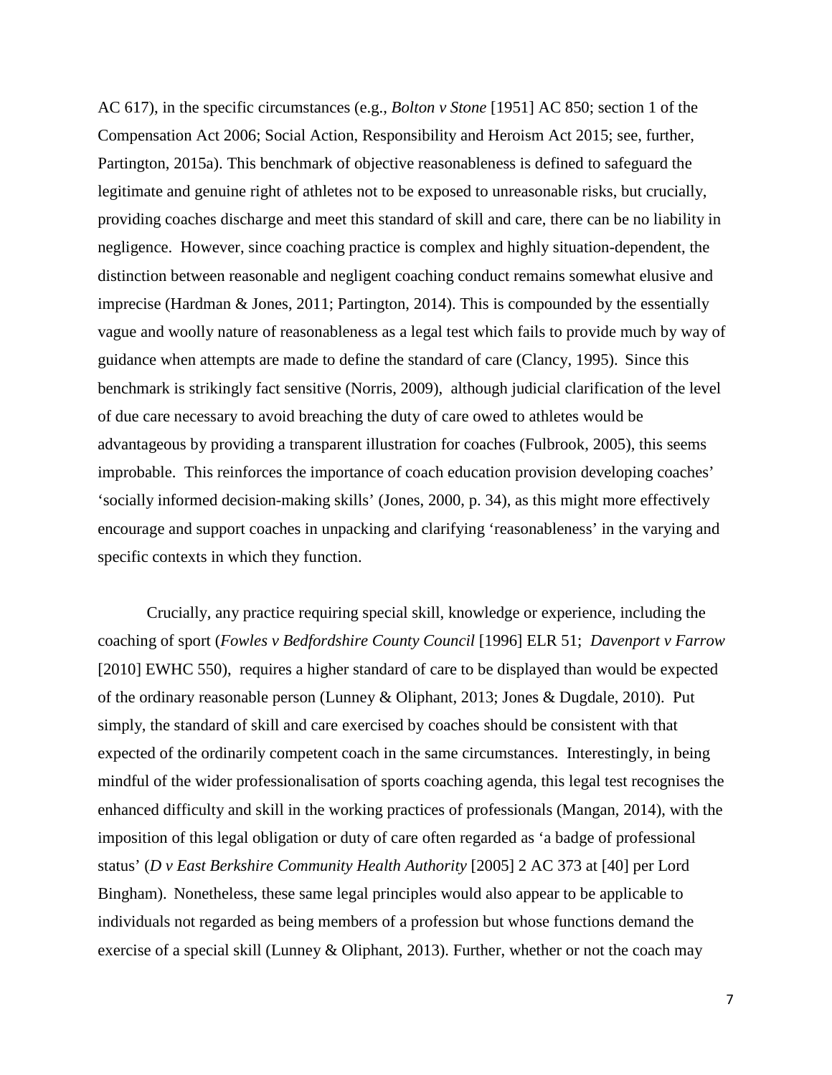AC 617), in the specific circumstances (e.g., *Bolton v Stone* [1951] AC 850; section 1 of the Compensation Act 2006; Social Action, Responsibility and Heroism Act 2015; see, further, Partington, 2015a). This benchmark of objective reasonableness is defined to safeguard the legitimate and genuine right of athletes not to be exposed to unreasonable risks, but crucially, providing coaches discharge and meet this standard of skill and care, there can be no liability in negligence. However, since coaching practice is complex and highly situation-dependent, the distinction between reasonable and negligent coaching conduct remains somewhat elusive and imprecise (Hardman & Jones, 2011; Partington, 2014). This is compounded by the essentially vague and woolly nature of reasonableness as a legal test which fails to provide much by way of guidance when attempts are made to define the standard of care (Clancy, 1995). Since this benchmark is strikingly fact sensitive (Norris, 2009), although judicial clarification of the level of due care necessary to avoid breaching the duty of care owed to athletes would be advantageous by providing a transparent illustration for coaches (Fulbrook, 2005), this seems improbable. This reinforces the importance of coach education provision developing coaches' 'socially informed decision-making skills' (Jones, 2000, p. 34), as this might more effectively encourage and support coaches in unpacking and clarifying 'reasonableness' in the varying and specific contexts in which they function.

Crucially, any practice requiring special skill, knowledge or experience, including the coaching of sport (*Fowles v Bedfordshire County Council* [1996] ELR 51; *Davenport v Farrow* [2010] EWHC 550), requires a higher standard of care to be displayed than would be expected of the ordinary reasonable person (Lunney & Oliphant, 2013; Jones & Dugdale, 2010). Put simply, the standard of skill and care exercised by coaches should be consistent with that expected of the ordinarily competent coach in the same circumstances. Interestingly, in being mindful of the wider professionalisation of sports coaching agenda, this legal test recognises the enhanced difficulty and skill in the working practices of professionals (Mangan, 2014), with the imposition of this legal obligation or duty of care often regarded as 'a badge of professional status' (*D v East Berkshire Community Health Authority* [2005] 2 AC 373 at [40] per Lord Bingham). Nonetheless, these same legal principles would also appear to be applicable to individuals not regarded as being members of a profession but whose functions demand the exercise of a special skill (Lunney & Oliphant, 2013). Further, whether or not the coach may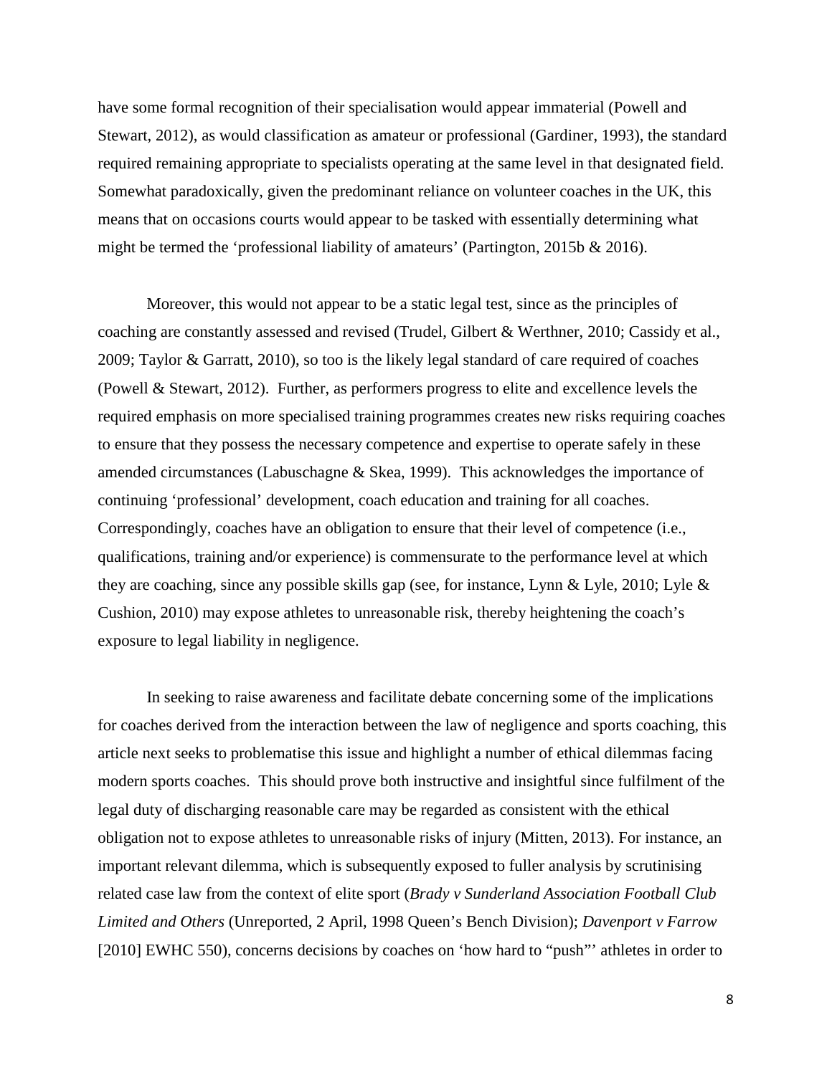have some formal recognition of their specialisation would appear immaterial (Powell and Stewart, 2012), as would classification as amateur or professional (Gardiner, 1993), the standard required remaining appropriate to specialists operating at the same level in that designated field. Somewhat paradoxically, given the predominant reliance on volunteer coaches in the UK, this means that on occasions courts would appear to be tasked with essentially determining what might be termed the 'professional liability of amateurs' (Partington, 2015b & 2016).

Moreover, this would not appear to be a static legal test, since as the principles of coaching are constantly assessed and revised (Trudel, Gilbert & Werthner, 2010; Cassidy et al., 2009; Taylor & Garratt, 2010), so too is the likely legal standard of care required of coaches (Powell & Stewart, 2012). Further, as performers progress to elite and excellence levels the required emphasis on more specialised training programmes creates new risks requiring coaches to ensure that they possess the necessary competence and expertise to operate safely in these amended circumstances (Labuschagne & Skea, 1999). This acknowledges the importance of continuing 'professional' development, coach education and training for all coaches. Correspondingly, coaches have an obligation to ensure that their level of competence (i.e., qualifications, training and/or experience) is commensurate to the performance level at which they are coaching, since any possible skills gap (see, for instance, Lynn & Lyle, 2010; Lyle & Cushion, 2010) may expose athletes to unreasonable risk, thereby heightening the coach's exposure to legal liability in negligence.

In seeking to raise awareness and facilitate debate concerning some of the implications for coaches derived from the interaction between the law of negligence and sports coaching, this article next seeks to problematise this issue and highlight a number of ethical dilemmas facing modern sports coaches. This should prove both instructive and insightful since fulfilment of the legal duty of discharging reasonable care may be regarded as consistent with the ethical obligation not to expose athletes to unreasonable risks of injury (Mitten, 2013). For instance, an important relevant dilemma, which is subsequently exposed to fuller analysis by scrutinising related case law from the context of elite sport (*Brady v Sunderland Association Football Club Limited and Others* (Unreported, 2 April, 1998 Queen's Bench Division); *Davenport v Farrow* [2010] EWHC 550), concerns decisions by coaches on 'how hard to "push" athletes in order to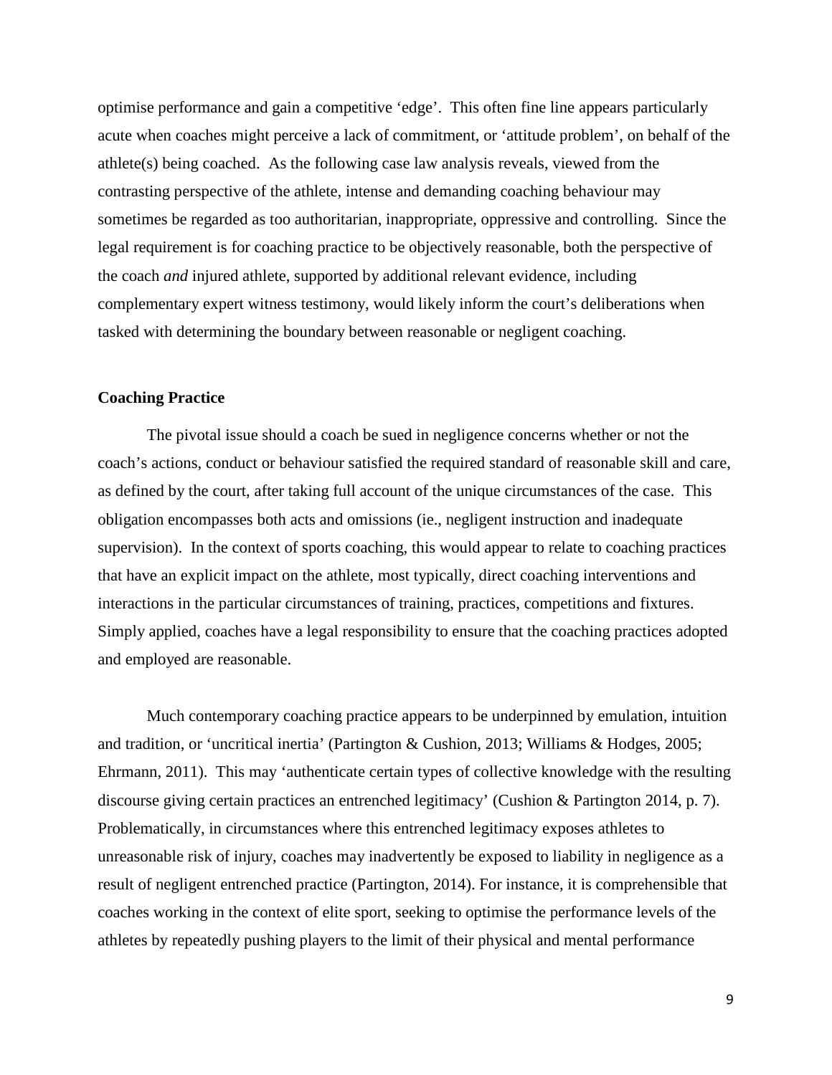optimise performance and gain a competitive 'edge'. This often fine line appears particularly acute when coaches might perceive a lack of commitment, or 'attitude problem', on behalf of the athlete(s) being coached. As the following case law analysis reveals, viewed from the contrasting perspective of the athlete, intense and demanding coaching behaviour may sometimes be regarded as too authoritarian, inappropriate, oppressive and controlling. Since the legal requirement is for coaching practice to be objectively reasonable, both the perspective of the coach *and* injured athlete, supported by additional relevant evidence, including complementary expert witness testimony, would likely inform the court's deliberations when tasked with determining the boundary between reasonable or negligent coaching.

### **Coaching Practice**

The pivotal issue should a coach be sued in negligence concerns whether or not the coach's actions, conduct or behaviour satisfied the required standard of reasonable skill and care, as defined by the court, after taking full account of the unique circumstances of the case. This obligation encompasses both acts and omissions (ie., negligent instruction and inadequate supervision). In the context of sports coaching, this would appear to relate to coaching practices that have an explicit impact on the athlete, most typically, direct coaching interventions and interactions in the particular circumstances of training, practices, competitions and fixtures. Simply applied, coaches have a legal responsibility to ensure that the coaching practices adopted and employed are reasonable.

Much contemporary coaching practice appears to be underpinned by emulation, intuition and tradition, or 'uncritical inertia' (Partington & Cushion, 2013; Williams & Hodges, 2005; Ehrmann, 2011). This may 'authenticate certain types of collective knowledge with the resulting discourse giving certain practices an entrenched legitimacy' (Cushion & Partington 2014, p. 7). Problematically, in circumstances where this entrenched legitimacy exposes athletes to unreasonable risk of injury, coaches may inadvertently be exposed to liability in negligence as a result of negligent entrenched practice (Partington, 2014). For instance, it is comprehensible that coaches working in the context of elite sport, seeking to optimise the performance levels of the athletes by repeatedly pushing players to the limit of their physical and mental performance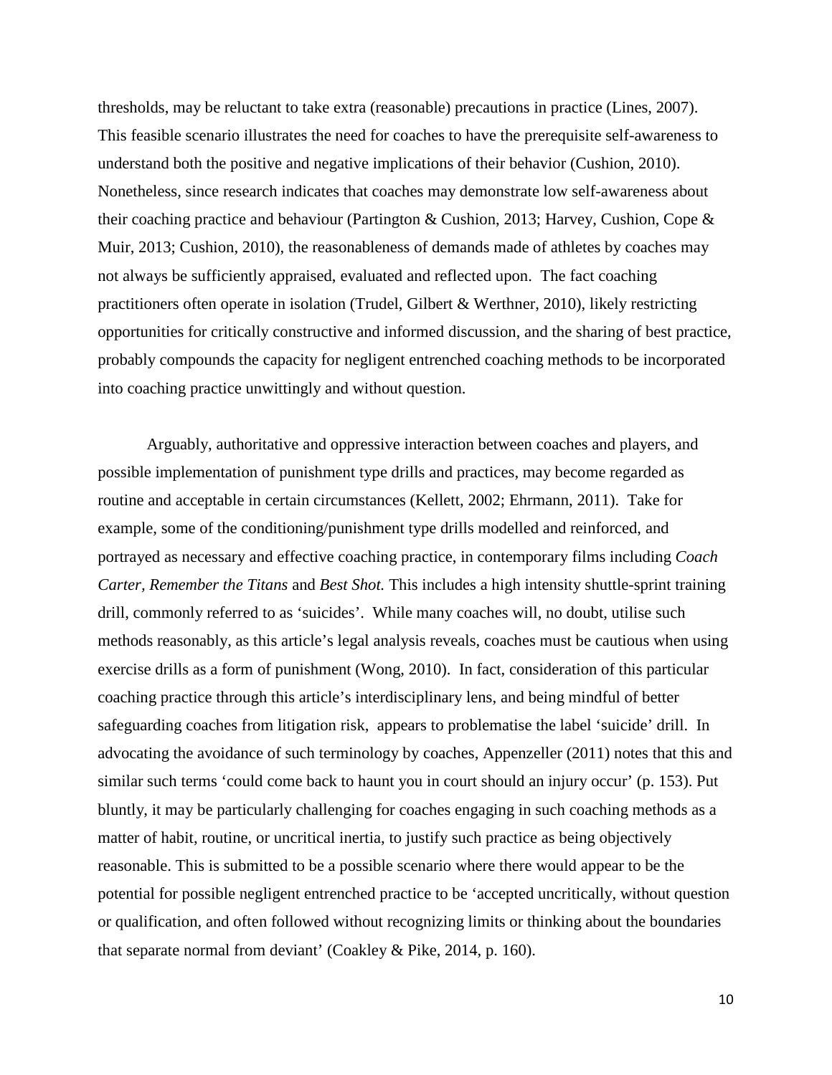thresholds, may be reluctant to take extra (reasonable) precautions in practice (Lines, 2007). This feasible scenario illustrates the need for coaches to have the prerequisite self-awareness to understand both the positive and negative implications of their behavior (Cushion, 2010). Nonetheless, since research indicates that coaches may demonstrate low self-awareness about their coaching practice and behaviour (Partington & Cushion, 2013; Harvey, Cushion, Cope & Muir, 2013; Cushion, 2010), the reasonableness of demands made of athletes by coaches may not always be sufficiently appraised, evaluated and reflected upon. The fact coaching practitioners often operate in isolation (Trudel, Gilbert & Werthner, 2010), likely restricting opportunities for critically constructive and informed discussion, and the sharing of best practice, probably compounds the capacity for negligent entrenched coaching methods to be incorporated into coaching practice unwittingly and without question.

Arguably, authoritative and oppressive interaction between coaches and players, and possible implementation of punishment type drills and practices, may become regarded as routine and acceptable in certain circumstances (Kellett, 2002; Ehrmann, 2011). Take for example, some of the conditioning/punishment type drills modelled and reinforced, and portrayed as necessary and effective coaching practice, in contemporary films including *Coach Carter, Remember the Titans* and *Best Shot.* This includes a high intensity shuttle-sprint training drill, commonly referred to as 'suicides'. While many coaches will, no doubt, utilise such methods reasonably, as this article's legal analysis reveals, coaches must be cautious when using exercise drills as a form of punishment (Wong, 2010). In fact, consideration of this particular coaching practice through this article's interdisciplinary lens, and being mindful of better safeguarding coaches from litigation risk, appears to problematise the label 'suicide' drill. In advocating the avoidance of such terminology by coaches, Appenzeller (2011) notes that this and similar such terms 'could come back to haunt you in court should an injury occur' (p. 153). Put bluntly, it may be particularly challenging for coaches engaging in such coaching methods as a matter of habit, routine, or uncritical inertia, to justify such practice as being objectively reasonable. This is submitted to be a possible scenario where there would appear to be the potential for possible negligent entrenched practice to be 'accepted uncritically, without question or qualification, and often followed without recognizing limits or thinking about the boundaries that separate normal from deviant' (Coakley & Pike, 2014, p. 160).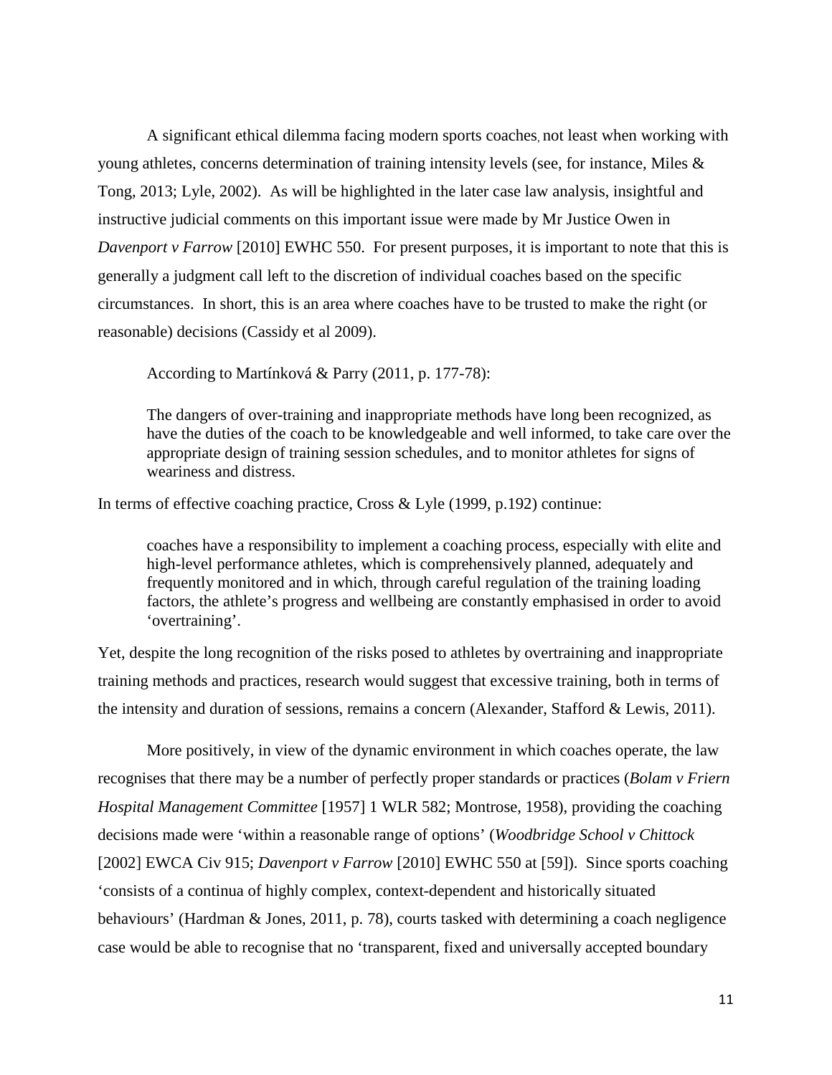A significant ethical dilemma facing modern sports coaches, not least when working with young athletes, concerns determination of training intensity levels (see, for instance, Miles & Tong, 2013; Lyle, 2002). As will be highlighted in the later case law analysis, insightful and instructive judicial comments on this important issue were made by Mr Justice Owen in *Davenport v Farrow* [2010] EWHC 550. For present purposes, it is important to note that this is generally a judgment call left to the discretion of individual coaches based on the specific circumstances. In short, this is an area where coaches have to be trusted to make the right (or reasonable) decisions (Cassidy et al 2009).

According to Martínková & Parry (2011, p. 177-78):

The dangers of over-training and inappropriate methods have long been recognized, as have the duties of the coach to be knowledgeable and well informed, to take care over the appropriate design of training session schedules, and to monitor athletes for signs of weariness and distress.

In terms of effective coaching practice, Cross & Lyle (1999, p.192) continue:

coaches have a responsibility to implement a coaching process, especially with elite and high-level performance athletes, which is comprehensively planned, adequately and frequently monitored and in which, through careful regulation of the training loading factors, the athlete's progress and wellbeing are constantly emphasised in order to avoid 'overtraining'.

Yet, despite the long recognition of the risks posed to athletes by overtraining and inappropriate training methods and practices, research would suggest that excessive training, both in terms of the intensity and duration of sessions, remains a concern (Alexander, Stafford & Lewis, 2011).

More positively, in view of the dynamic environment in which coaches operate, the law recognises that there may be a number of perfectly proper standards or practices (*Bolam v Friern Hospital Management Committee* [1957] 1 WLR 582; Montrose, 1958), providing the coaching decisions made were 'within a reasonable range of options' (*Woodbridge School v Chittock* [2002] EWCA Civ 915; *Davenport v Farrow* [2010] EWHC 550 at [59]). Since sports coaching 'consists of a continua of highly complex, context-dependent and historically situated behaviours' (Hardman & Jones, 2011, p. 78), courts tasked with determining a coach negligence case would be able to recognise that no 'transparent, fixed and universally accepted boundary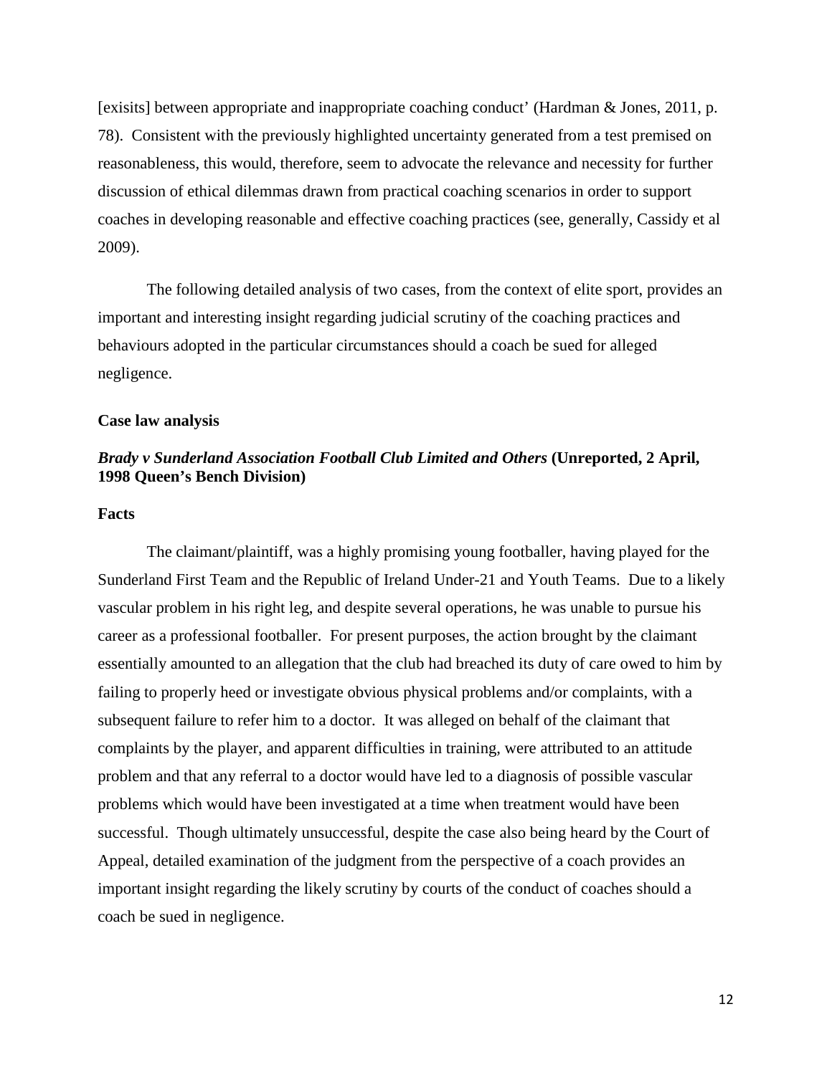[exisits] between appropriate and inappropriate coaching conduct' (Hardman & Jones, 2011, p. 78). Consistent with the previously highlighted uncertainty generated from a test premised on reasonableness, this would, therefore, seem to advocate the relevance and necessity for further discussion of ethical dilemmas drawn from practical coaching scenarios in order to support coaches in developing reasonable and effective coaching practices (see, generally, Cassidy et al 2009).

The following detailed analysis of two cases, from the context of elite sport, provides an important and interesting insight regarding judicial scrutiny of the coaching practices and behaviours adopted in the particular circumstances should a coach be sued for alleged negligence.

#### **Case law analysis**

# *Brady v Sunderland Association Football Club Limited and Others* **(Unreported, 2 April, 1998 Queen's Bench Division)**

#### **Facts**

The claimant/plaintiff, was a highly promising young footballer, having played for the Sunderland First Team and the Republic of Ireland Under-21 and Youth Teams. Due to a likely vascular problem in his right leg, and despite several operations, he was unable to pursue his career as a professional footballer. For present purposes, the action brought by the claimant essentially amounted to an allegation that the club had breached its duty of care owed to him by failing to properly heed or investigate obvious physical problems and/or complaints, with a subsequent failure to refer him to a doctor. It was alleged on behalf of the claimant that complaints by the player, and apparent difficulties in training, were attributed to an attitude problem and that any referral to a doctor would have led to a diagnosis of possible vascular problems which would have been investigated at a time when treatment would have been successful. Though ultimately unsuccessful, despite the case also being heard by the Court of Appeal, detailed examination of the judgment from the perspective of a coach provides an important insight regarding the likely scrutiny by courts of the conduct of coaches should a coach be sued in negligence.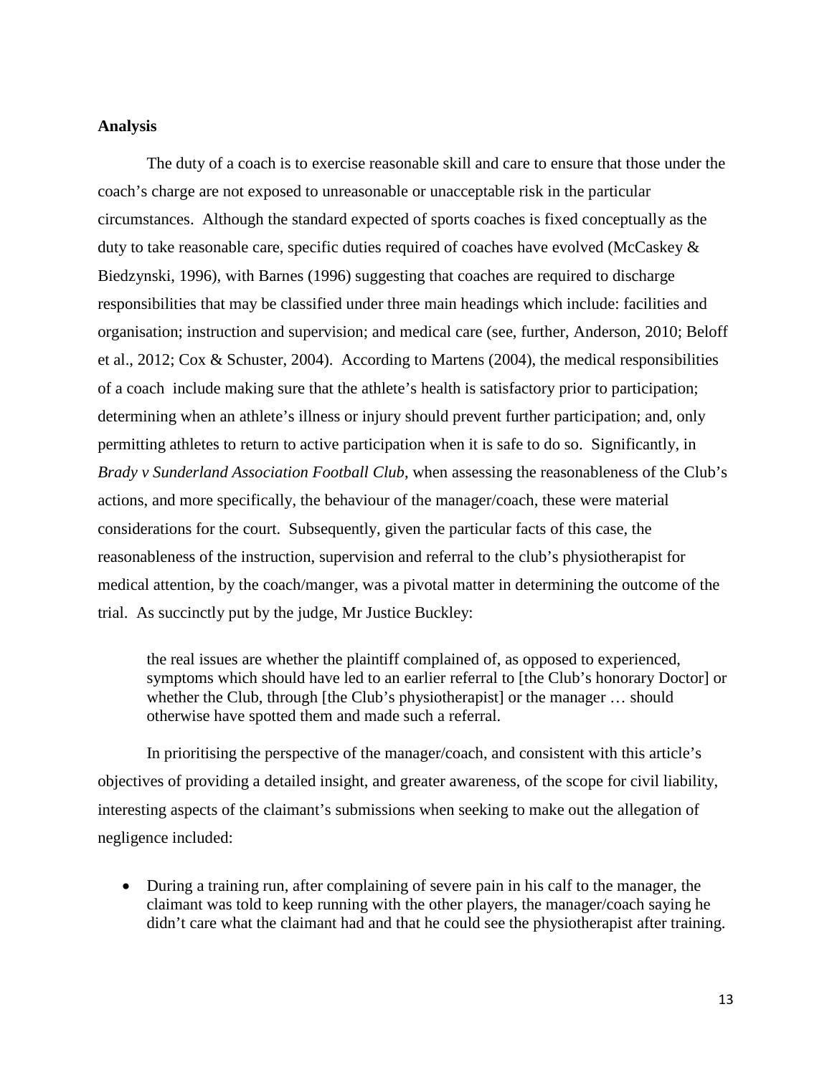## **Analysis**

The duty of a coach is to exercise reasonable skill and care to ensure that those under the coach's charge are not exposed to unreasonable or unacceptable risk in the particular circumstances. Although the standard expected of sports coaches is fixed conceptually as the duty to take reasonable care, specific duties required of coaches have evolved (McCaskey  $\&$ Biedzynski, 1996), with Barnes (1996) suggesting that coaches are required to discharge responsibilities that may be classified under three main headings which include: facilities and organisation; instruction and supervision; and medical care (see, further, Anderson, 2010; Beloff et al., 2012; Cox & Schuster, 2004). According to Martens (2004), the medical responsibilities of a coach include making sure that the athlete's health is satisfactory prior to participation; determining when an athlete's illness or injury should prevent further participation; and, only permitting athletes to return to active participation when it is safe to do so. Significantly, in *Brady v Sunderland Association Football Club*, when assessing the reasonableness of the Club's actions, and more specifically, the behaviour of the manager/coach, these were material considerations for the court. Subsequently, given the particular facts of this case, the reasonableness of the instruction, supervision and referral to the club's physiotherapist for medical attention, by the coach/manger, was a pivotal matter in determining the outcome of the trial. As succinctly put by the judge, Mr Justice Buckley:

the real issues are whether the plaintiff complained of, as opposed to experienced, symptoms which should have led to an earlier referral to [the Club's honorary Doctor] or whether the Club, through [the Club's physiotherapist] or the manager ... should otherwise have spotted them and made such a referral.

In prioritising the perspective of the manager/coach, and consistent with this article's objectives of providing a detailed insight, and greater awareness, of the scope for civil liability, interesting aspects of the claimant's submissions when seeking to make out the allegation of negligence included:

• During a training run, after complaining of severe pain in his calf to the manager, the claimant was told to keep running with the other players, the manager/coach saying he didn't care what the claimant had and that he could see the physiotherapist after training.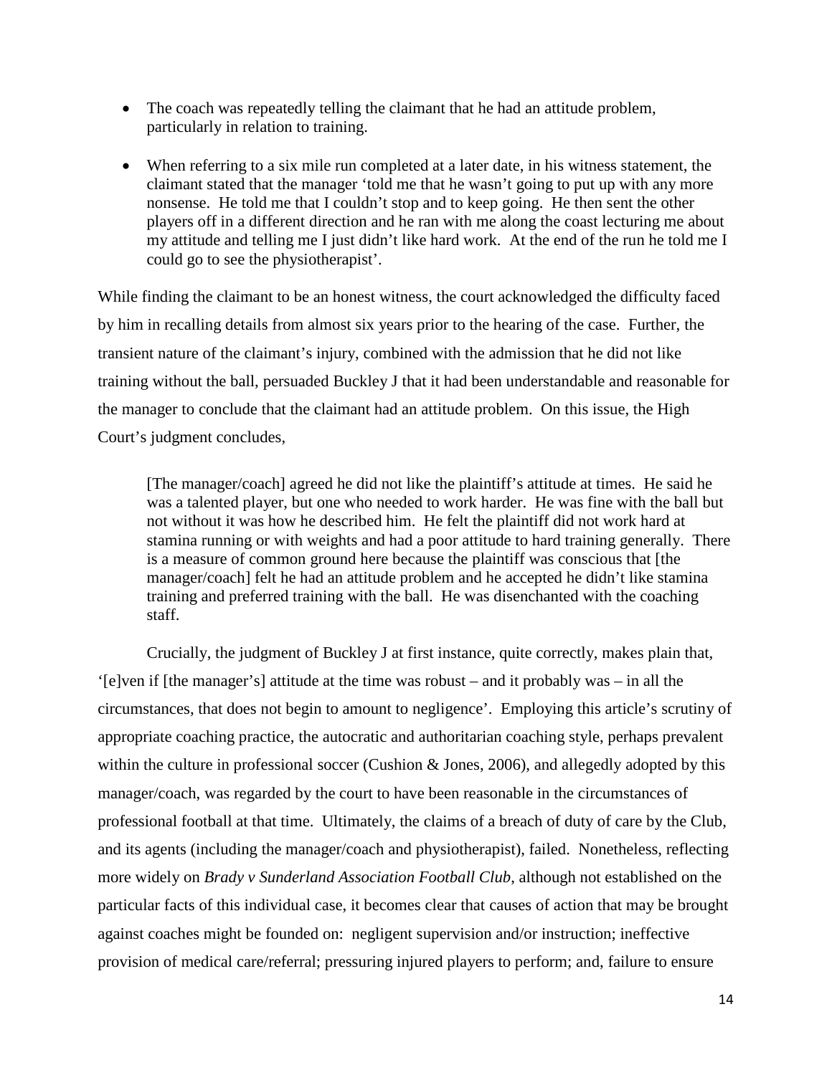- The coach was repeatedly telling the claimant that he had an attitude problem, particularly in relation to training.
- When referring to a six mile run completed at a later date, in his witness statement, the claimant stated that the manager 'told me that he wasn't going to put up with any more nonsense. He told me that I couldn't stop and to keep going. He then sent the other players off in a different direction and he ran with me along the coast lecturing me about my attitude and telling me I just didn't like hard work. At the end of the run he told me I could go to see the physiotherapist'.

While finding the claimant to be an honest witness, the court acknowledged the difficulty faced by him in recalling details from almost six years prior to the hearing of the case. Further, the transient nature of the claimant's injury, combined with the admission that he did not like training without the ball, persuaded Buckley J that it had been understandable and reasonable for the manager to conclude that the claimant had an attitude problem. On this issue, the High Court's judgment concludes,

[The manager/coach] agreed he did not like the plaintiff's attitude at times. He said he was a talented player, but one who needed to work harder. He was fine with the ball but not without it was how he described him. He felt the plaintiff did not work hard at stamina running or with weights and had a poor attitude to hard training generally. There is a measure of common ground here because the plaintiff was conscious that [the manager/coach] felt he had an attitude problem and he accepted he didn't like stamina training and preferred training with the ball. He was disenchanted with the coaching staff.

Crucially, the judgment of Buckley J at first instance, quite correctly, makes plain that, '[e]ven if [the manager's] attitude at the time was robust – and it probably was – in all the circumstances, that does not begin to amount to negligence'. Employing this article's scrutiny of appropriate coaching practice, the autocratic and authoritarian coaching style, perhaps prevalent within the culture in professional soccer (Cushion  $\&$  Jones, 2006), and allegedly adopted by this manager/coach, was regarded by the court to have been reasonable in the circumstances of professional football at that time. Ultimately, the claims of a breach of duty of care by the Club, and its agents (including the manager/coach and physiotherapist), failed. Nonetheless, reflecting more widely on *Brady v Sunderland Association Football Club*, although not established on the particular facts of this individual case, it becomes clear that causes of action that may be brought against coaches might be founded on: negligent supervision and/or instruction; ineffective provision of medical care/referral; pressuring injured players to perform; and, failure to ensure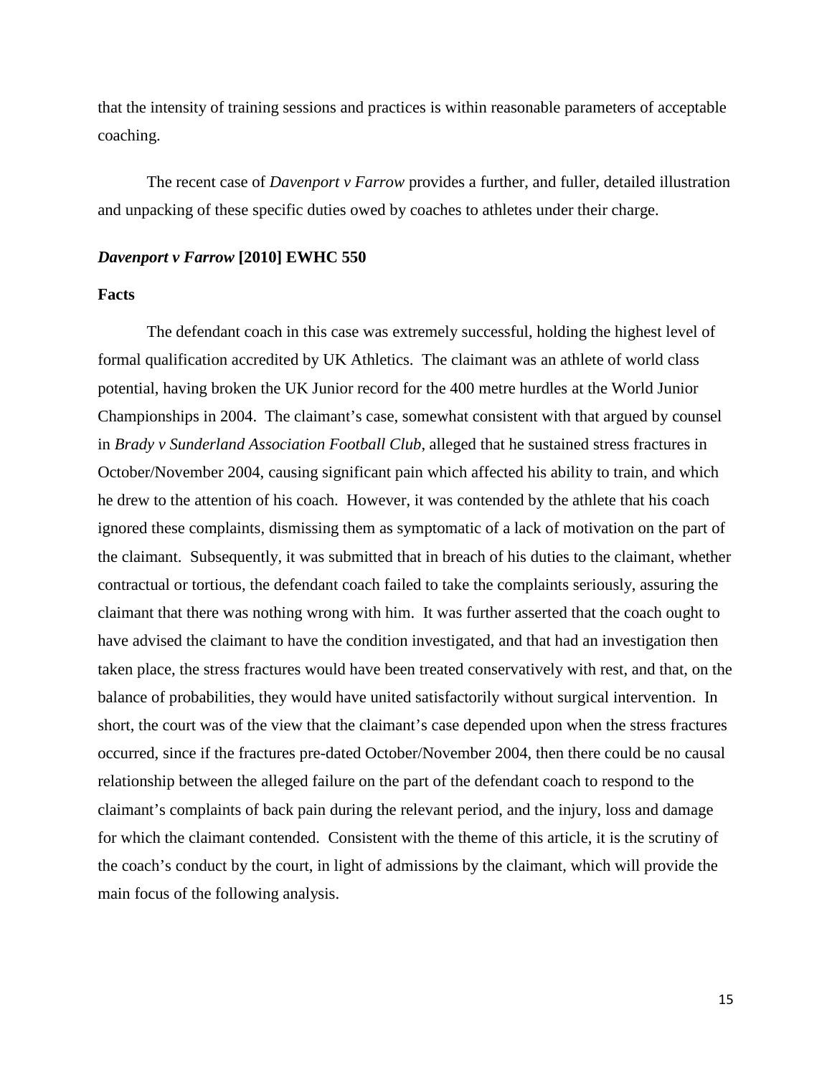that the intensity of training sessions and practices is within reasonable parameters of acceptable coaching.

The recent case of *Davenport v Farrow* provides a further, and fuller, detailed illustration and unpacking of these specific duties owed by coaches to athletes under their charge.

#### *Davenport v Farrow* **[2010] EWHC 550**

#### **Facts**

The defendant coach in this case was extremely successful, holding the highest level of formal qualification accredited by UK Athletics. The claimant was an athlete of world class potential, having broken the UK Junior record for the 400 metre hurdles at the World Junior Championships in 2004. The claimant's case, somewhat consistent with that argued by counsel in *Brady v Sunderland Association Football Club*, alleged that he sustained stress fractures in October/November 2004, causing significant pain which affected his ability to train, and which he drew to the attention of his coach. However, it was contended by the athlete that his coach ignored these complaints, dismissing them as symptomatic of a lack of motivation on the part of the claimant. Subsequently, it was submitted that in breach of his duties to the claimant, whether contractual or tortious, the defendant coach failed to take the complaints seriously, assuring the claimant that there was nothing wrong with him. It was further asserted that the coach ought to have advised the claimant to have the condition investigated, and that had an investigation then taken place, the stress fractures would have been treated conservatively with rest, and that, on the balance of probabilities, they would have united satisfactorily without surgical intervention. In short, the court was of the view that the claimant's case depended upon when the stress fractures occurred, since if the fractures pre-dated October/November 2004, then there could be no causal relationship between the alleged failure on the part of the defendant coach to respond to the claimant's complaints of back pain during the relevant period, and the injury, loss and damage for which the claimant contended. Consistent with the theme of this article, it is the scrutiny of the coach's conduct by the court, in light of admissions by the claimant, which will provide the main focus of the following analysis.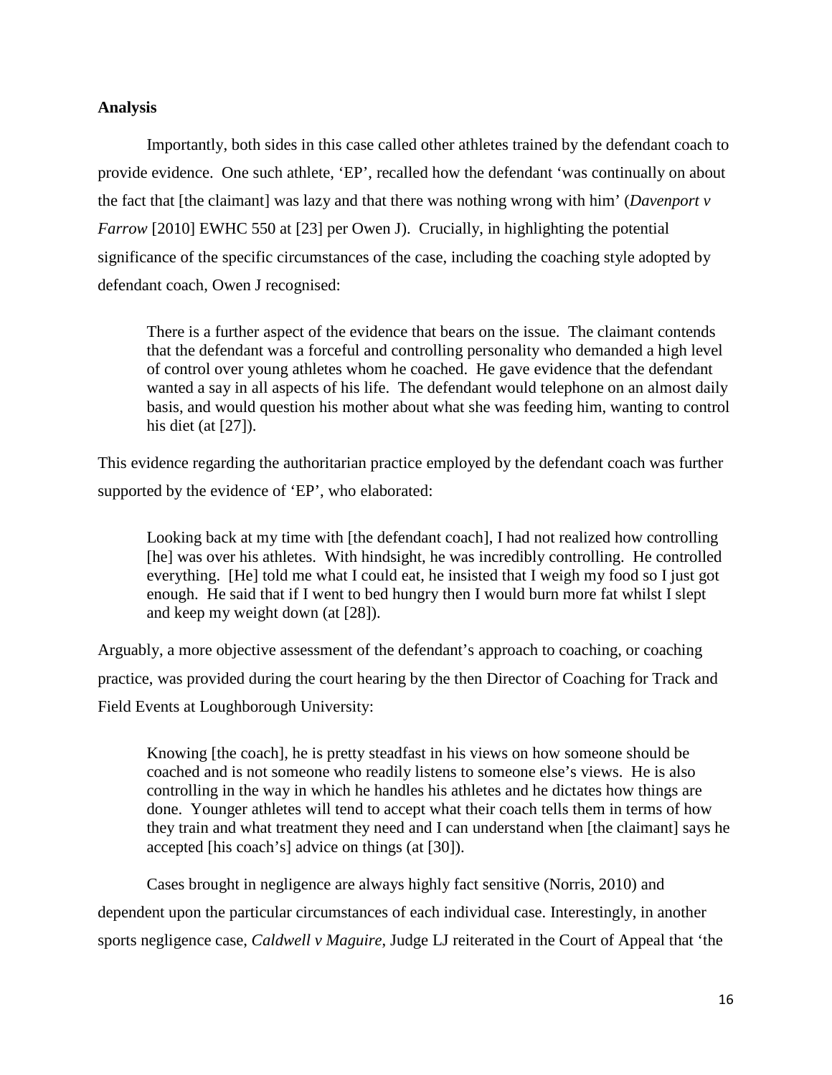## **Analysis**

Importantly, both sides in this case called other athletes trained by the defendant coach to provide evidence. One such athlete, 'EP', recalled how the defendant 'was continually on about the fact that [the claimant] was lazy and that there was nothing wrong with him' (*Davenport v Farrow* [2010] EWHC 550 at [23] per Owen J). Crucially, in highlighting the potential significance of the specific circumstances of the case, including the coaching style adopted by defendant coach, Owen J recognised:

There is a further aspect of the evidence that bears on the issue. The claimant contends that the defendant was a forceful and controlling personality who demanded a high level of control over young athletes whom he coached. He gave evidence that the defendant wanted a say in all aspects of his life. The defendant would telephone on an almost daily basis, and would question his mother about what she was feeding him, wanting to control his diet (at [27]).

This evidence regarding the authoritarian practice employed by the defendant coach was further supported by the evidence of 'EP', who elaborated:

Looking back at my time with [the defendant coach], I had not realized how controlling [he] was over his athletes. With hindsight, he was incredibly controlling. He controlled everything. [He] told me what I could eat, he insisted that I weigh my food so I just got enough. He said that if I went to bed hungry then I would burn more fat whilst I slept and keep my weight down (at [28]).

Arguably, a more objective assessment of the defendant's approach to coaching, or coaching practice, was provided during the court hearing by the then Director of Coaching for Track and Field Events at Loughborough University:

Knowing [the coach], he is pretty steadfast in his views on how someone should be coached and is not someone who readily listens to someone else's views. He is also controlling in the way in which he handles his athletes and he dictates how things are done. Younger athletes will tend to accept what their coach tells them in terms of how they train and what treatment they need and I can understand when [the claimant] says he accepted [his coach's] advice on things (at [30]).

Cases brought in negligence are always highly fact sensitive (Norris, 2010) and dependent upon the particular circumstances of each individual case. Interestingly, in another sports negligence case, *Caldwell v Maguire*, Judge LJ reiterated in the Court of Appeal that 'the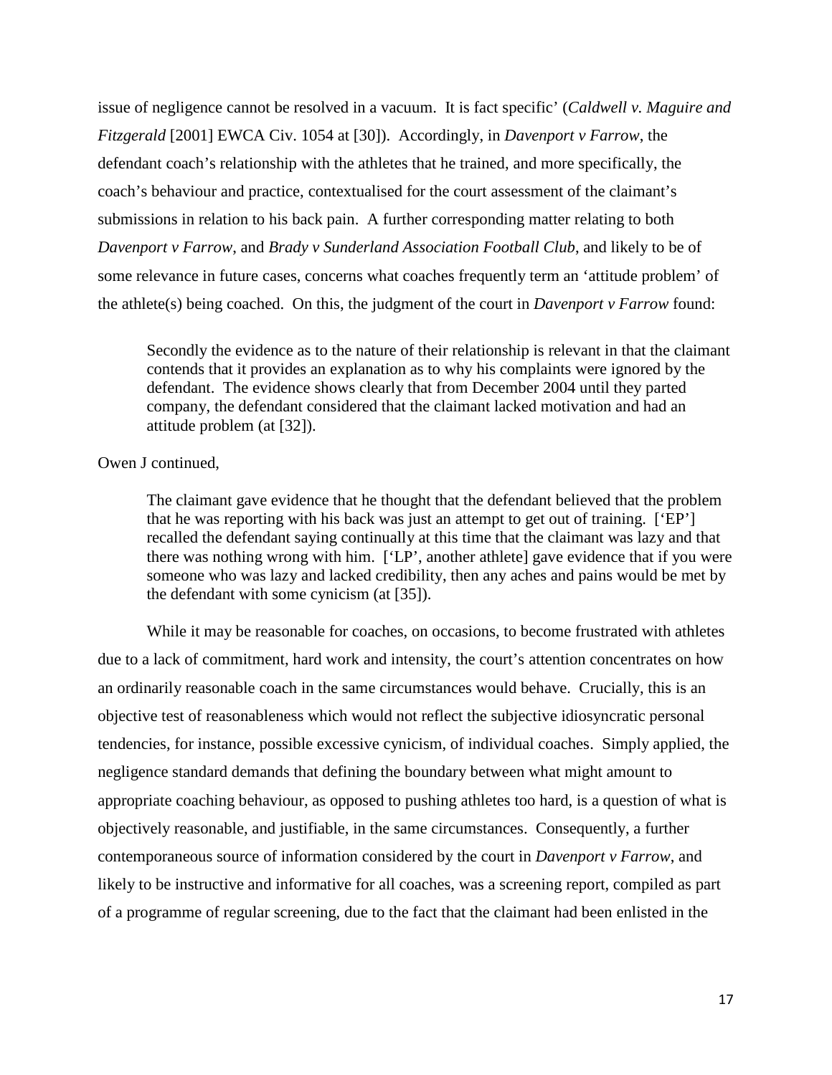issue of negligence cannot be resolved in a vacuum. It is fact specific' (*Caldwell v. Maguire and Fitzgerald* [2001] EWCA Civ. 1054 at [30]). Accordingly, in *Davenport v Farrow*, the defendant coach's relationship with the athletes that he trained, and more specifically, the coach's behaviour and practice, contextualised for the court assessment of the claimant's submissions in relation to his back pain. A further corresponding matter relating to both *Davenport v Farrow*, and *Brady v Sunderland Association Football Club*, and likely to be of some relevance in future cases, concerns what coaches frequently term an 'attitude problem' of the athlete(s) being coached. On this, the judgment of the court in *Davenport v Farrow* found:

Secondly the evidence as to the nature of their relationship is relevant in that the claimant contends that it provides an explanation as to why his complaints were ignored by the defendant. The evidence shows clearly that from December 2004 until they parted company, the defendant considered that the claimant lacked motivation and had an attitude problem (at [32]).

## Owen J continued,

The claimant gave evidence that he thought that the defendant believed that the problem that he was reporting with his back was just an attempt to get out of training. ['EP'] recalled the defendant saying continually at this time that the claimant was lazy and that there was nothing wrong with him. ['LP', another athlete] gave evidence that if you were someone who was lazy and lacked credibility, then any aches and pains would be met by the defendant with some cynicism (at [35]).

While it may be reasonable for coaches, on occasions, to become frustrated with athletes due to a lack of commitment, hard work and intensity, the court's attention concentrates on how an ordinarily reasonable coach in the same circumstances would behave. Crucially, this is an objective test of reasonableness which would not reflect the subjective idiosyncratic personal tendencies, for instance, possible excessive cynicism, of individual coaches. Simply applied, the negligence standard demands that defining the boundary between what might amount to appropriate coaching behaviour, as opposed to pushing athletes too hard, is a question of what is objectively reasonable, and justifiable, in the same circumstances. Consequently, a further contemporaneous source of information considered by the court in *Davenport v Farrow*, and likely to be instructive and informative for all coaches, was a screening report, compiled as part of a programme of regular screening, due to the fact that the claimant had been enlisted in the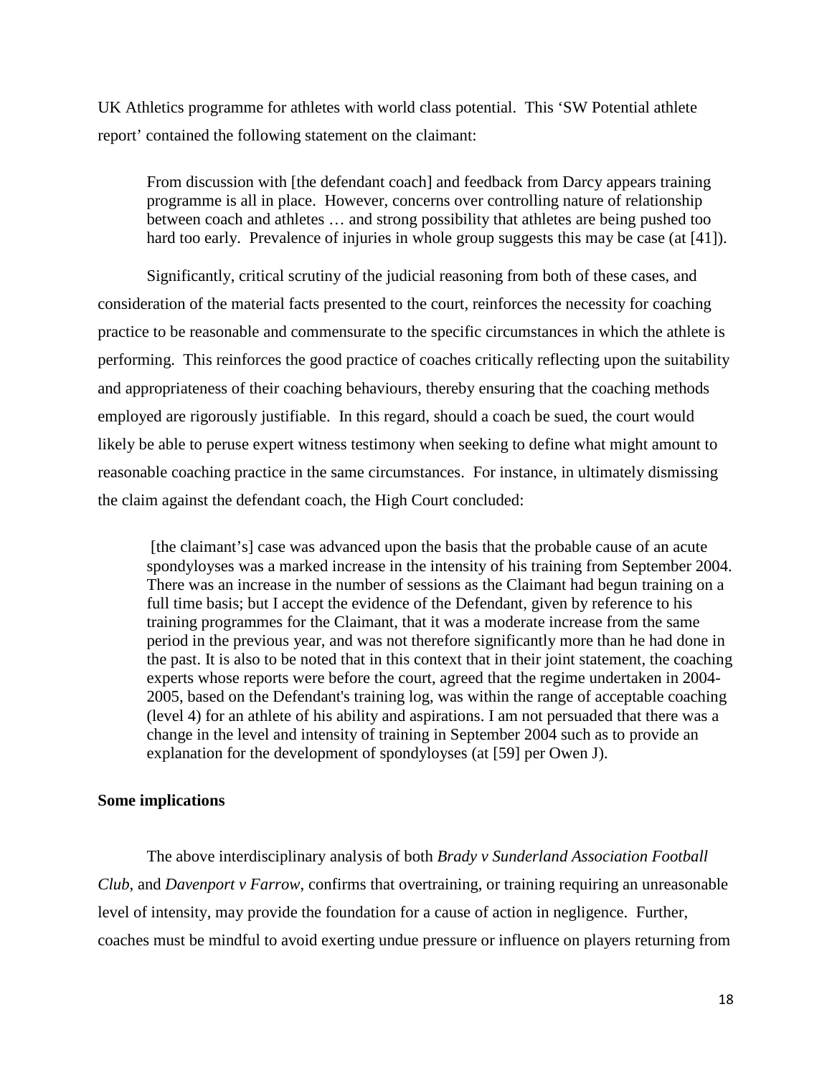UK Athletics programme for athletes with world class potential. This 'SW Potential athlete report' contained the following statement on the claimant:

From discussion with [the defendant coach] and feedback from Darcy appears training programme is all in place. However, concerns over controlling nature of relationship between coach and athletes … and strong possibility that athletes are being pushed too hard too early. Prevalence of injuries in whole group suggests this may be case (at [41]).

Significantly, critical scrutiny of the judicial reasoning from both of these cases, and consideration of the material facts presented to the court, reinforces the necessity for coaching practice to be reasonable and commensurate to the specific circumstances in which the athlete is performing. This reinforces the good practice of coaches critically reflecting upon the suitability and appropriateness of their coaching behaviours, thereby ensuring that the coaching methods employed are rigorously justifiable. In this regard, should a coach be sued, the court would likely be able to peruse expert witness testimony when seeking to define what might amount to reasonable coaching practice in the same circumstances. For instance, in ultimately dismissing the claim against the defendant coach, the High Court concluded:

[the claimant's] case was advanced upon the basis that the probable cause of an acute spondyloyses was a marked increase in the intensity of his training from September 2004. There was an increase in the number of sessions as the Claimant had begun training on a full time basis; but I accept the evidence of the Defendant, given by reference to his training programmes for the Claimant, that it was a moderate increase from the same period in the previous year, and was not therefore significantly more than he had done in the past. It is also to be noted that in this context that in their joint statement, the coaching experts whose reports were before the court, agreed that the regime undertaken in 2004- 2005, based on the Defendant's training log, was within the range of acceptable coaching (level 4) for an athlete of his ability and aspirations. I am not persuaded that there was a change in the level and intensity of training in September 2004 such as to provide an explanation for the development of spondyloyses (at [59] per Owen J).

#### **Some implications**

The above interdisciplinary analysis of both *Brady v Sunderland Association Football Club*, and *Davenport v Farrow*, confirms that overtraining, or training requiring an unreasonable level of intensity, may provide the foundation for a cause of action in negligence. Further, coaches must be mindful to avoid exerting undue pressure or influence on players returning from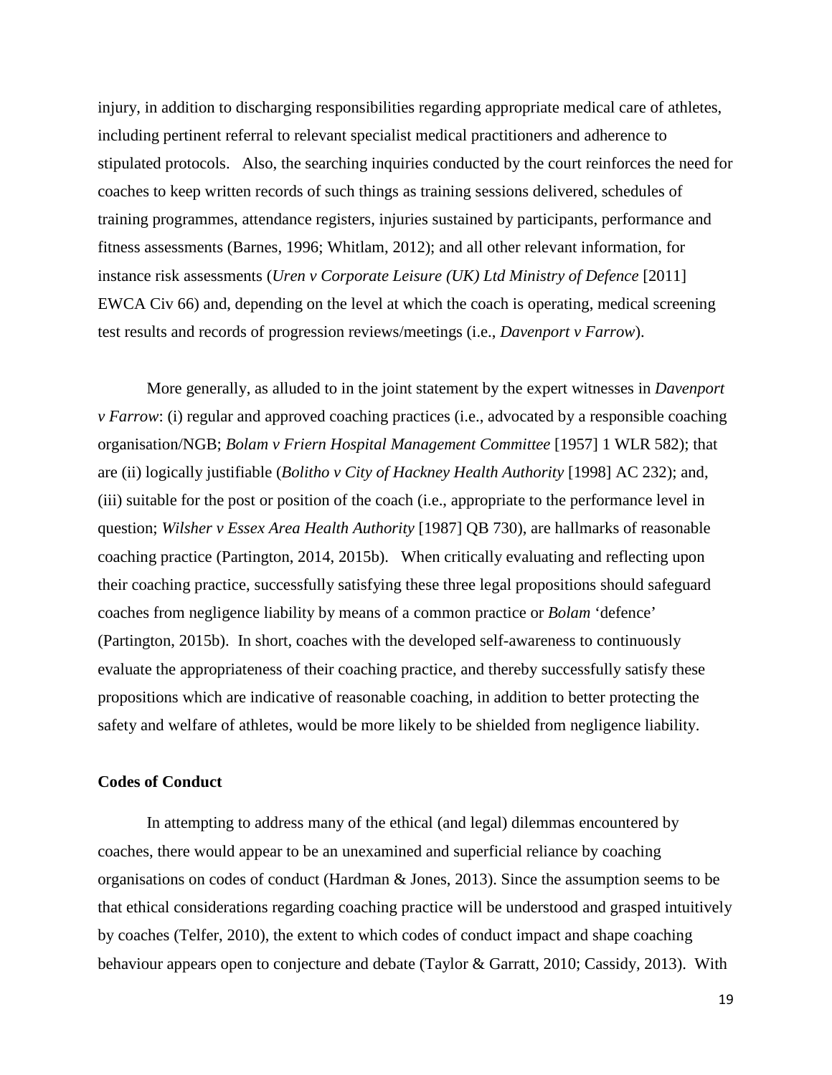injury, in addition to discharging responsibilities regarding appropriate medical care of athletes, including pertinent referral to relevant specialist medical practitioners and adherence to stipulated protocols. Also, the searching inquiries conducted by the court reinforces the need for coaches to keep written records of such things as training sessions delivered, schedules of training programmes, attendance registers, injuries sustained by participants, performance and fitness assessments (Barnes, 1996; Whitlam, 2012); and all other relevant information, for instance risk assessments (*Uren v Corporate Leisure (UK) Ltd Ministry of Defence* [2011] EWCA Civ 66) and, depending on the level at which the coach is operating, medical screening test results and records of progression reviews/meetings (i.e., *Davenport v Farrow*).

More generally, as alluded to in the joint statement by the expert witnesses in *Davenport v Farrow*: (i) regular and approved coaching practices (i.e., advocated by a responsible coaching organisation/NGB; *Bolam v Friern Hospital Management Committee* [1957] 1 WLR 582); that are (ii) logically justifiable (*Bolitho v City of Hackney Health Authority* [1998] AC 232); and, (iii) suitable for the post or position of the coach (i.e., appropriate to the performance level in question; *Wilsher v Essex Area Health Authority* [1987] QB 730), are hallmarks of reasonable coaching practice (Partington, 2014, 2015b). When critically evaluating and reflecting upon their coaching practice, successfully satisfying these three legal propositions should safeguard coaches from negligence liability by means of a common practice or *Bolam* 'defence' (Partington, 2015b). In short, coaches with the developed self-awareness to continuously evaluate the appropriateness of their coaching practice, and thereby successfully satisfy these propositions which are indicative of reasonable coaching, in addition to better protecting the safety and welfare of athletes, would be more likely to be shielded from negligence liability.

#### **Codes of Conduct**

In attempting to address many of the ethical (and legal) dilemmas encountered by coaches, there would appear to be an unexamined and superficial reliance by coaching organisations on codes of conduct (Hardman & Jones, 2013). Since the assumption seems to be that ethical considerations regarding coaching practice will be understood and grasped intuitively by coaches (Telfer, 2010), the extent to which codes of conduct impact and shape coaching behaviour appears open to conjecture and debate (Taylor & Garratt, 2010; Cassidy, 2013). With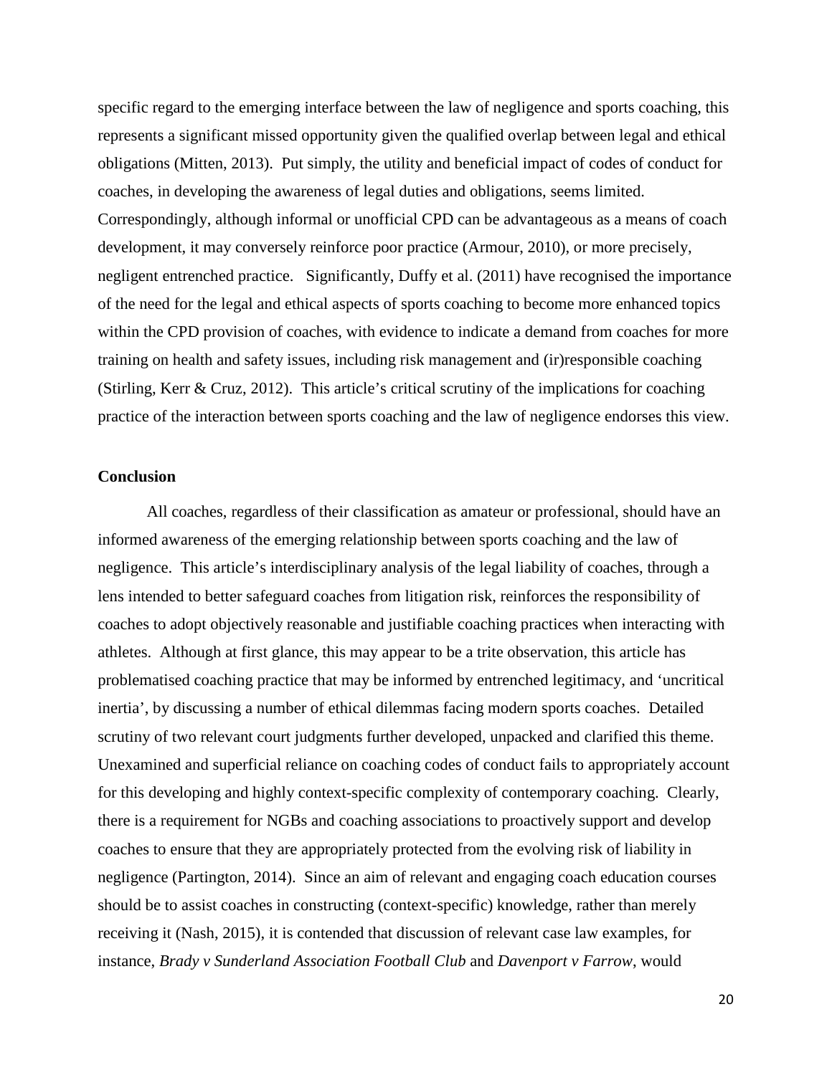specific regard to the emerging interface between the law of negligence and sports coaching, this represents a significant missed opportunity given the qualified overlap between legal and ethical obligations (Mitten, 2013). Put simply, the utility and beneficial impact of codes of conduct for coaches, in developing the awareness of legal duties and obligations, seems limited. Correspondingly, although informal or unofficial CPD can be advantageous as a means of coach development, it may conversely reinforce poor practice (Armour, 2010), or more precisely, negligent entrenched practice. Significantly, Duffy et al. (2011) have recognised the importance of the need for the legal and ethical aspects of sports coaching to become more enhanced topics within the CPD provision of coaches, with evidence to indicate a demand from coaches for more training on health and safety issues, including risk management and (ir)responsible coaching (Stirling, Kerr & Cruz, 2012). This article's critical scrutiny of the implications for coaching practice of the interaction between sports coaching and the law of negligence endorses this view.

## **Conclusion**

All coaches, regardless of their classification as amateur or professional, should have an informed awareness of the emerging relationship between sports coaching and the law of negligence. This article's interdisciplinary analysis of the legal liability of coaches, through a lens intended to better safeguard coaches from litigation risk, reinforces the responsibility of coaches to adopt objectively reasonable and justifiable coaching practices when interacting with athletes. Although at first glance, this may appear to be a trite observation, this article has problematised coaching practice that may be informed by entrenched legitimacy, and 'uncritical inertia', by discussing a number of ethical dilemmas facing modern sports coaches. Detailed scrutiny of two relevant court judgments further developed, unpacked and clarified this theme. Unexamined and superficial reliance on coaching codes of conduct fails to appropriately account for this developing and highly context-specific complexity of contemporary coaching. Clearly, there is a requirement for NGBs and coaching associations to proactively support and develop coaches to ensure that they are appropriately protected from the evolving risk of liability in negligence (Partington, 2014). Since an aim of relevant and engaging coach education courses should be to assist coaches in constructing (context-specific) knowledge, rather than merely receiving it (Nash, 2015), it is contended that discussion of relevant case law examples, for instance, *Brady v Sunderland Association Football Club* and *Davenport v Farrow*, would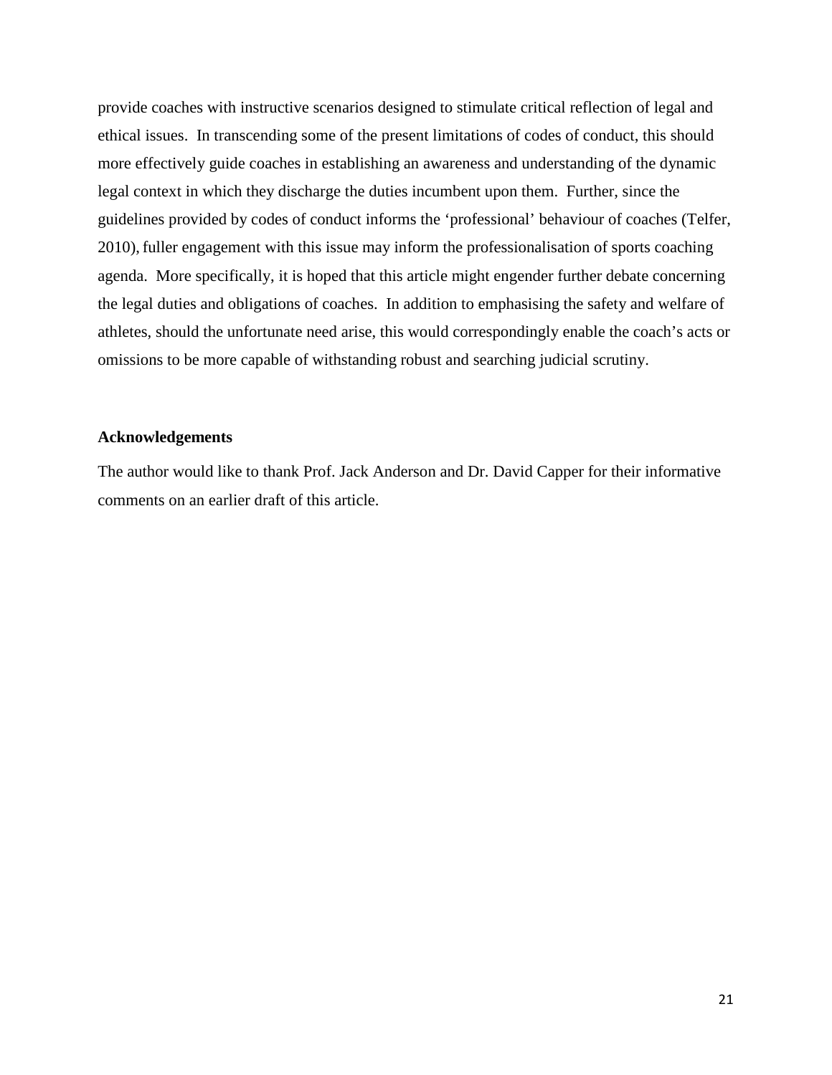provide coaches with instructive scenarios designed to stimulate critical reflection of legal and ethical issues. In transcending some of the present limitations of codes of conduct, this should more effectively guide coaches in establishing an awareness and understanding of the dynamic legal context in which they discharge the duties incumbent upon them. Further, since the guidelines provided by codes of conduct informs the 'professional' behaviour of coaches (Telfer, 2010), fuller engagement with this issue may inform the professionalisation of sports coaching agenda. More specifically, it is hoped that this article might engender further debate concerning the legal duties and obligations of coaches. In addition to emphasising the safety and welfare of athletes, should the unfortunate need arise, this would correspondingly enable the coach's acts or omissions to be more capable of withstanding robust and searching judicial scrutiny.

#### **Acknowledgements**

The author would like to thank Prof. Jack Anderson and Dr. David Capper for their informative comments on an earlier draft of this article.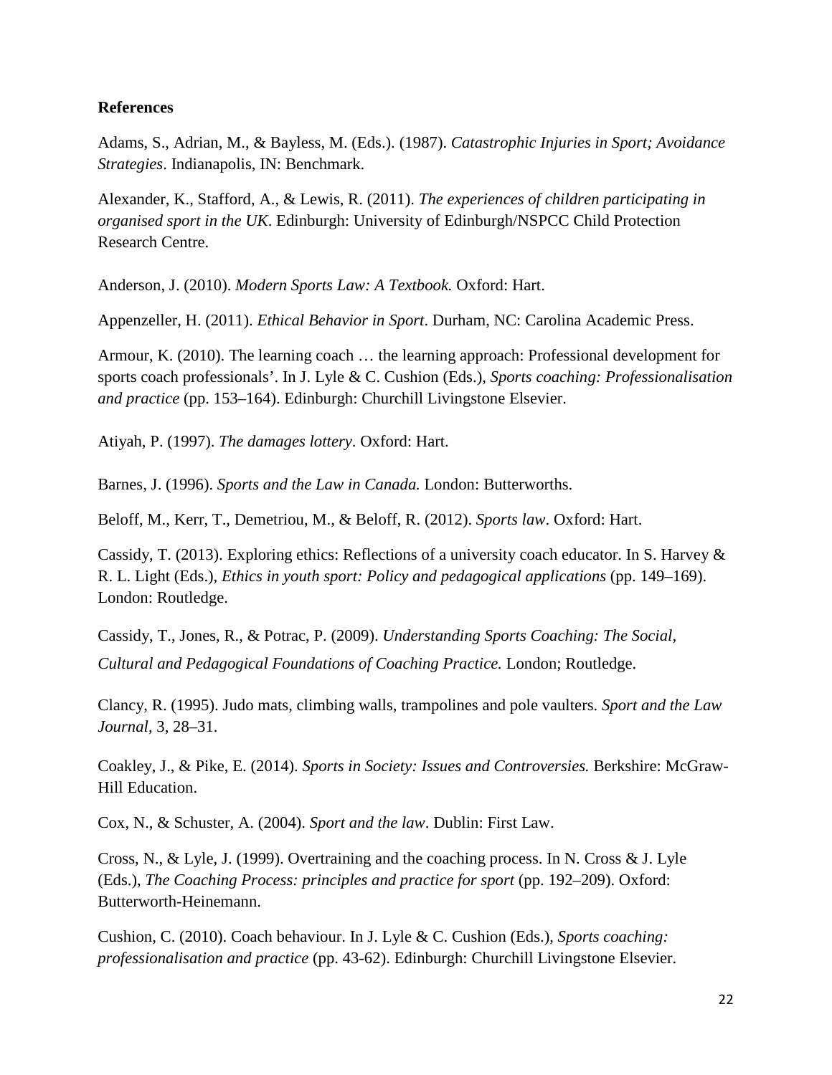# **References**

Adams, S., Adrian, M., & Bayless, M. (Eds.). (1987). *Catastrophic Injuries in Sport; Avoidance Strategies*. Indianapolis, IN: Benchmark.

Alexander, K., Stafford, A., & Lewis, R. (2011). *The experiences of children participating in organised sport in the UK*. Edinburgh: University of Edinburgh/NSPCC Child Protection Research Centre.

Anderson, J. (2010). *Modern Sports Law: A Textbook.* Oxford: Hart.

Appenzeller, H. (2011). *Ethical Behavior in Sport*. Durham, NC: Carolina Academic Press.

Armour, K. (2010). The learning coach … the learning approach: Professional development for sports coach professionals'. In J. Lyle & C. Cushion (Eds.), *Sports coaching: Professionalisation and practice* (pp. 153–164). Edinburgh: Churchill Livingstone Elsevier.

Atiyah, P. (1997). *The damages lottery*. Oxford: Hart.

Barnes, J. (1996). *Sports and the Law in Canada.* London: Butterworths.

Beloff, M., Kerr, T., Demetriou, M., & Beloff, R. (2012). *Sports law*. Oxford: Hart.

Cassidy, T. (2013). Exploring ethics: Reflections of a university coach educator. In S. Harvey & R. L. Light (Eds.), *Ethics in youth sport: Policy and pedagogical applications* (pp. 149–169). London: Routledge.

Cassidy, T., Jones, R., & Potrac, P. (2009). *Understanding Sports Coaching: The Social, Cultural and Pedagogical Foundations of Coaching Practice.* London; Routledge.

Clancy, R. (1995). Judo mats, climbing walls, trampolines and pole vaulters. *Sport and the Law Journal,* 3, 28–31.

Coakley, J., & Pike, E. (2014). *Sports in Society: Issues and Controversies.* Berkshire: McGraw-Hill Education.

Cox, N., & Schuster, A. (2004). *Sport and the law*. Dublin: First Law.

Cross, N., & Lyle, J. (1999). Overtraining and the coaching process. In N. Cross & J. Lyle (Eds.), *The Coaching Process: principles and practice for sport* (pp. 192–209). Oxford: Butterworth-Heinemann.

Cushion, C. (2010). Coach behaviour. In J. Lyle & C. Cushion (Eds.), *Sports coaching: professionalisation and practice* (pp. 43-62). Edinburgh: Churchill Livingstone Elsevier.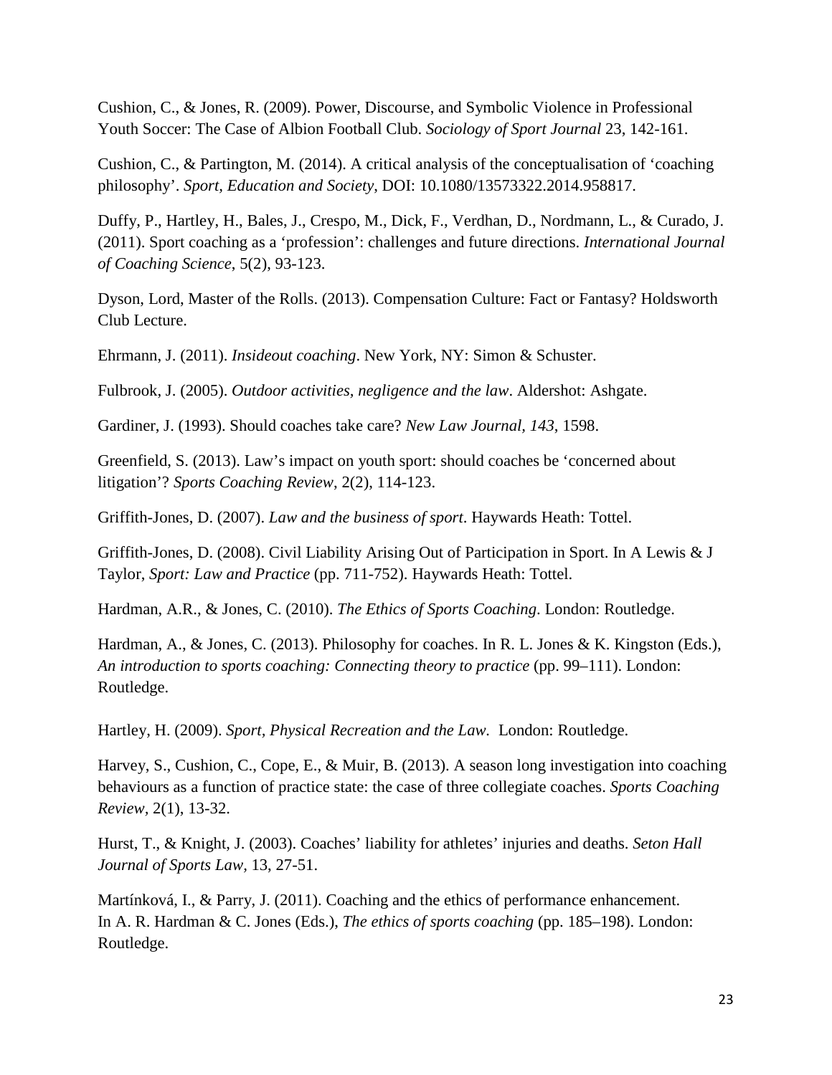Cushion, C., & Jones, R. (2009). Power, Discourse, and Symbolic Violence in Professional Youth Soccer: The Case of Albion Football Club. *Sociology of Sport Journal* 23, 142-161.

Cushion, C., & Partington, M. (2014). A critical analysis of the conceptualisation of 'coaching philosophy'. *Sport, Education and Society*, DOI: 10.1080/13573322.2014.958817.

Duffy, P., Hartley, H., Bales, J., Crespo, M., Dick, F., Verdhan, D., Nordmann, L., & Curado, J. (2011). Sport coaching as a 'profession': challenges and future directions. *International Journal of Coaching Science*, 5(2), 93-123.

Dyson, Lord, Master of the Rolls. (2013). Compensation Culture: Fact or Fantasy? Holdsworth Club Lecture.

Ehrmann, J. (2011). *Insideout coaching*. New York, NY: Simon & Schuster.

Fulbrook, J. (2005). *Outdoor activities, negligence and the law*. Aldershot: Ashgate.

Gardiner, J. (1993). Should coaches take care? *New Law Journal, 143*, 1598.

Greenfield, S. (2013). Law's impact on youth sport: should coaches be 'concerned about litigation'? *Sports Coaching Review*, 2(2), 114-123.

Griffith-Jones, D. (2007). *Law and the business of sport*. Haywards Heath: Tottel.

Griffith-Jones, D. (2008). Civil Liability Arising Out of Participation in Sport. In A Lewis & J Taylor, *Sport: Law and Practice* (pp. 711-752). Haywards Heath: Tottel.

Hardman, A.R., & Jones, C. (2010). *The Ethics of Sports Coaching*. London: Routledge.

Hardman, A., & Jones, C. (2013). Philosophy for coaches. In R. L. Jones & K. Kingston (Eds.), *An introduction to sports coaching: Connecting theory to practice (pp. 99–111). London:* Routledge.

Hartley, H. (2009). *Sport, Physical Recreation and the Law.* London: Routledge.

Harvey, S., Cushion, C., Cope, E., & Muir, B. (2013). A season long investigation into coaching behaviours as a function of practice state: the case of three collegiate coaches. *Sports Coaching Review,* 2(1), 13-32.

Hurst, T., & Knight, J. (2003). Coaches' liability for athletes' injuries and deaths. *Seton Hall Journal of Sports Law,* 13, 27-51.

Martínková, I., & Parry, J. (2011). Coaching and the ethics of performance enhancement. In A. R. Hardman & C. Jones (Eds.), *The ethics of sports coaching* (pp. 185–198). London: Routledge.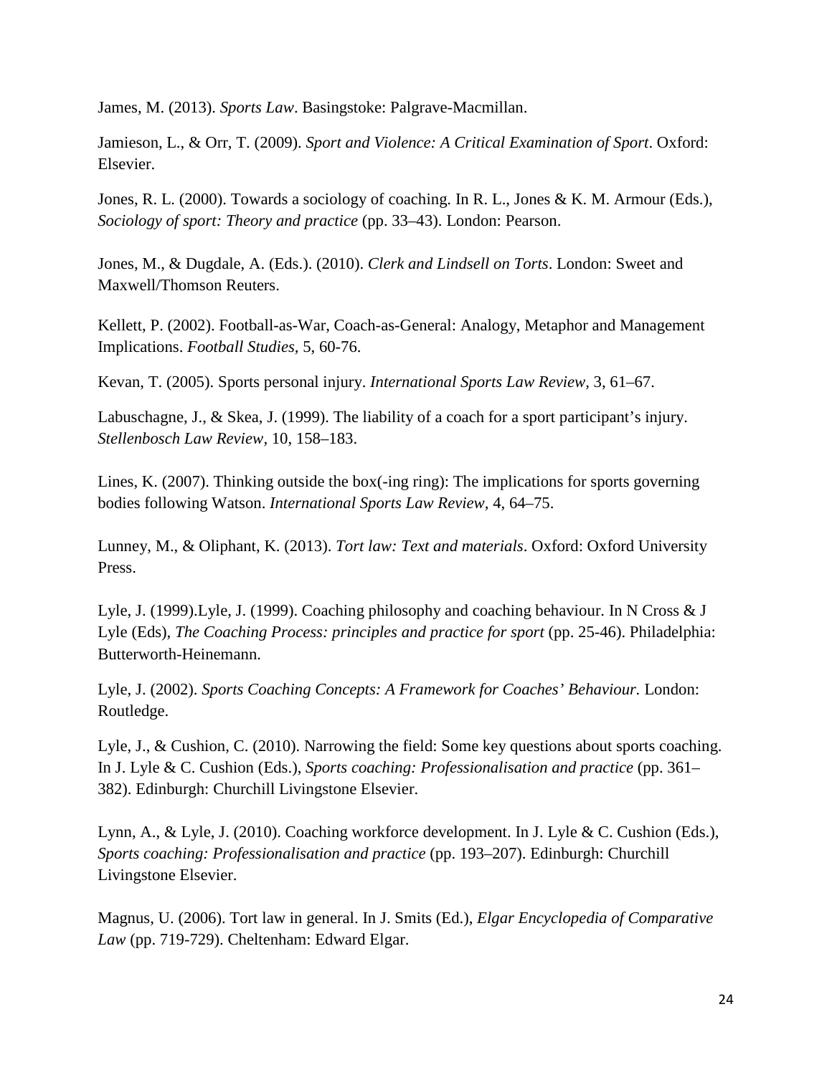James, M. (2013). *Sports Law*. Basingstoke: Palgrave-Macmillan.

Jamieson, L., & Orr, T. (2009). *Sport and Violence: A Critical Examination of Sport*. Oxford: Elsevier.

Jones, R. L. (2000). Towards a sociology of coaching. In R. L., Jones & K. M. Armour (Eds.), *Sociology of sport: Theory and practice* (pp. 33–43). London: Pearson.

Jones, M., & Dugdale, A. (Eds.). (2010). *Clerk and Lindsell on Torts*. London: Sweet and Maxwell/Thomson Reuters.

Kellett, P. (2002). Football-as-War, Coach-as-General: Analogy, Metaphor and Management Implications. *Football Studies,* 5, 60-76.

Kevan, T. (2005). Sports personal injury. *International Sports Law Review,* 3, 61–67.

Labuschagne, J., & Skea, J. (1999). The liability of a coach for a sport participant's injury. *Stellenbosch Law Review,* 10, 158–183.

Lines, K. (2007). Thinking outside the box(-ing ring): The implications for sports governing bodies following Watson. *International Sports Law Review,* 4, 64–75.

Lunney, M., & Oliphant, K. (2013). *Tort law: Text and materials*. Oxford: Oxford University Press.

Lyle, J. (1999).Lyle, J. (1999). Coaching philosophy and coaching behaviour. In N Cross & J Lyle (Eds), *The Coaching Process: principles and practice for sport* (pp. 25-46). Philadelphia: Butterworth-Heinemann.

Lyle, J. (2002). *Sports Coaching Concepts: A Framework for Coaches' Behaviour.* London: Routledge.

Lyle, J., & Cushion, C. (2010). Narrowing the field: Some key questions about sports coaching. In J. Lyle & C. Cushion (Eds.), *Sports coaching: Professionalisation and practice* (pp. 361– 382). Edinburgh: Churchill Livingstone Elsevier.

Lynn, A., & Lyle, J. (2010). Coaching workforce development. In J. Lyle & C. Cushion (Eds.), *Sports coaching: Professionalisation and practice* (pp. 193–207). Edinburgh: Churchill Livingstone Elsevier.

Magnus, U. (2006). Tort law in general. In J. Smits (Ed.), *Elgar Encyclopedia of Comparative Law* (pp. 719-729). Cheltenham: Edward Elgar.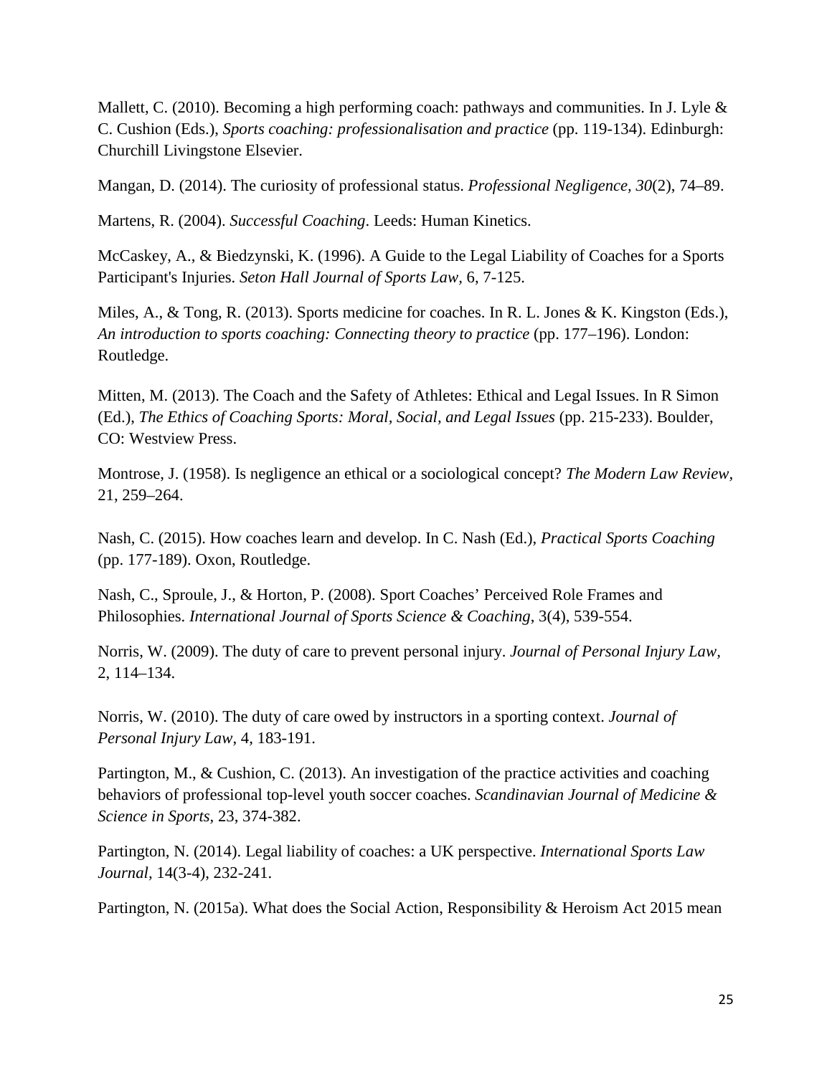Mallett, C. (2010). Becoming a high performing coach: pathways and communities. In J. Lyle & C. Cushion (Eds.), *Sports coaching: professionalisation and practice* (pp. 119-134). Edinburgh: Churchill Livingstone Elsevier.

Mangan, D. (2014). The curiosity of professional status. *Professional Negligence, 30*(2), 74–89.

Martens, R. (2004). *Successful Coaching*. Leeds: Human Kinetics.

McCaskey, A., & Biedzynski, K. (1996). A Guide to the Legal Liability of Coaches for a Sports Participant's Injuries. *Seton Hall Journal of Sports Law,* 6, 7-125.

Miles, A., & Tong, R. (2013). Sports medicine for coaches. In R. L. Jones & K. Kingston (Eds.), An introduction to sports coaching: Connecting theory to practice (pp. 177–196). London: Routledge.

Mitten, M. (2013). The Coach and the Safety of Athletes: Ethical and Legal Issues. In R Simon (Ed.), *The Ethics of Coaching Sports: Moral, Social, and Legal Issues* (pp. 215-233). Boulder, CO: Westview Press.

Montrose, J. (1958). Is negligence an ethical or a sociological concept? *The Modern Law Review,* 21, 259–264.

Nash, C. (2015). How coaches learn and develop. In C. Nash (Ed.), *Practical Sports Coaching* (pp. 177-189). Oxon, Routledge.

Nash, C., Sproule, J., & Horton, P. (2008). Sport Coaches' Perceived Role Frames and Philosophies. *International Journal of Sports Science & Coaching*, 3(4), 539-554.

Norris, W. (2009). The duty of care to prevent personal injury. *Journal of Personal Injury Law,* 2, 114–134.

Norris, W. (2010). The duty of care owed by instructors in a sporting context. *Journal of Personal Injury Law*, 4, 183-191.

Partington, M., & Cushion, C. (2013). An investigation of the practice activities and coaching behaviors of professional top-level youth soccer coaches. *Scandinavian Journal of Medicine & Science in Sports,* 23, 374-382.

Partington, N. (2014). Legal liability of coaches: a UK perspective. *International Sports Law Journal,* 14(3-4), 232-241.

Partington, N. (2015a). What does the Social Action, Responsibility & Heroism Act 2015 mean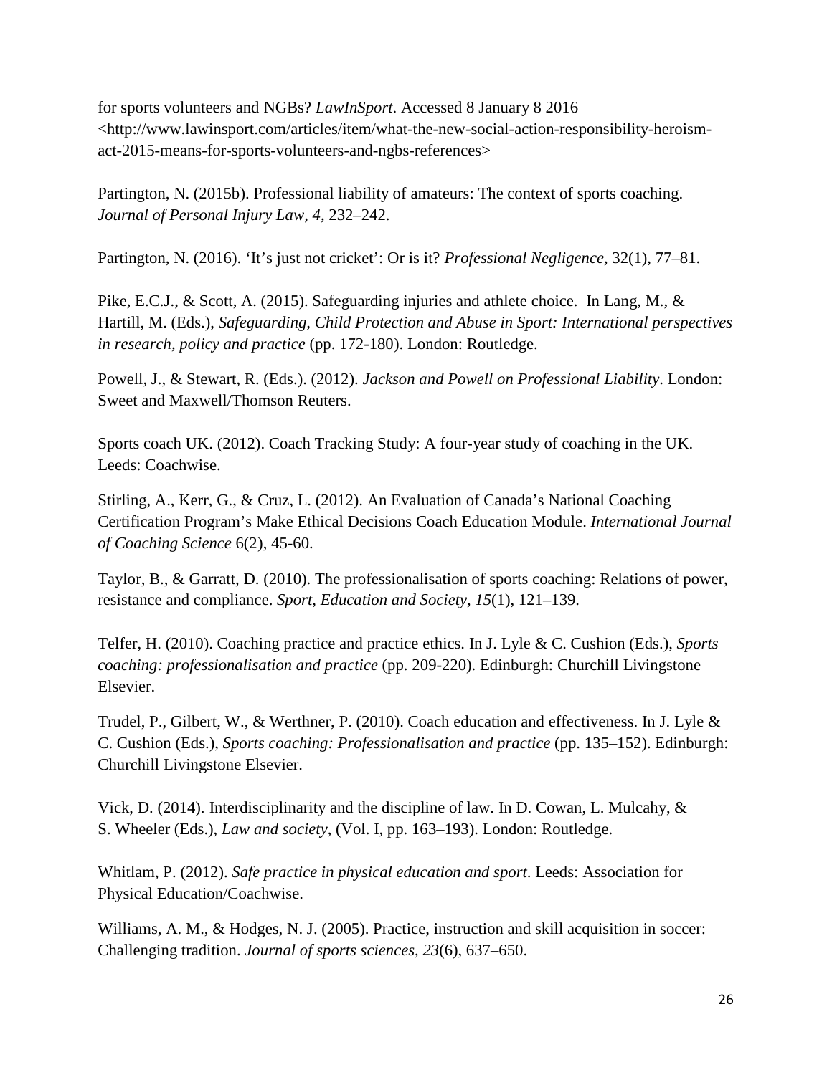for sports volunteers and NGBs? *LawInSport*. Accessed 8 January 8 2016 <http://www.lawinsport.com/articles/item/what-the-new-social-action-responsibility-heroismact-2015-means-for-sports-volunteers-and-ngbs-references>

Partington, N. (2015b). Professional liability of amateurs: The context of sports coaching. *Journal of Personal Injury Law, 4*, 232–242.

Partington, N. (2016). 'It's just not cricket': Or is it? *Professional Negligence,* 32(1), 77–81.

Pike, E.C.J., & Scott, A. (2015). Safeguarding injuries and athlete choice. In Lang, M., & Hartill, M. (Eds.), *Safeguarding, Child Protection and Abuse in Sport: International perspectives in research, policy and practice* (pp. 172-180). London: Routledge.

Powell, J., & Stewart, R. (Eds.). (2012). *Jackson and Powell on Professional Liability*. London: Sweet and Maxwell/Thomson Reuters.

Sports coach UK. (2012). Coach Tracking Study: A four-year study of coaching in the UK. Leeds: Coachwise.

Stirling, A., Kerr, G., & Cruz, L. (2012). An Evaluation of Canada's National Coaching Certification Program's Make Ethical Decisions Coach Education Module. *International Journal of Coaching Science* 6(2), 45-60.

Taylor, B., & Garratt, D. (2010). The professionalisation of sports coaching: Relations of power, resistance and compliance. *Sport, Education and Society, 15*(1), 121–139.

Telfer, H. (2010). Coaching practice and practice ethics. In J. Lyle & C. Cushion (Eds.), *Sports coaching: professionalisation and practice* (pp. 209-220). Edinburgh: Churchill Livingstone Elsevier.

Trudel, P., Gilbert, W., & Werthner, P. (2010). Coach education and effectiveness. In J. Lyle & C. Cushion (Eds.), *Sports coaching: Professionalisation and practice* (pp. 135–152). Edinburgh: Churchill Livingstone Elsevier.

Vick, D. (2014). Interdisciplinarity and the discipline of law. In D. Cowan, L. Mulcahy, & S. Wheeler (Eds.), *Law and society*, (Vol. I, pp. 163–193). London: Routledge.

Whitlam, P. (2012). *Safe practice in physical education and sport*. Leeds: Association for Physical Education/Coachwise.

Williams, A. M., & Hodges, N. J. (2005). Practice, instruction and skill acquisition in soccer: Challenging tradition. *Journal of sports sciences, 23*(6), 637–650.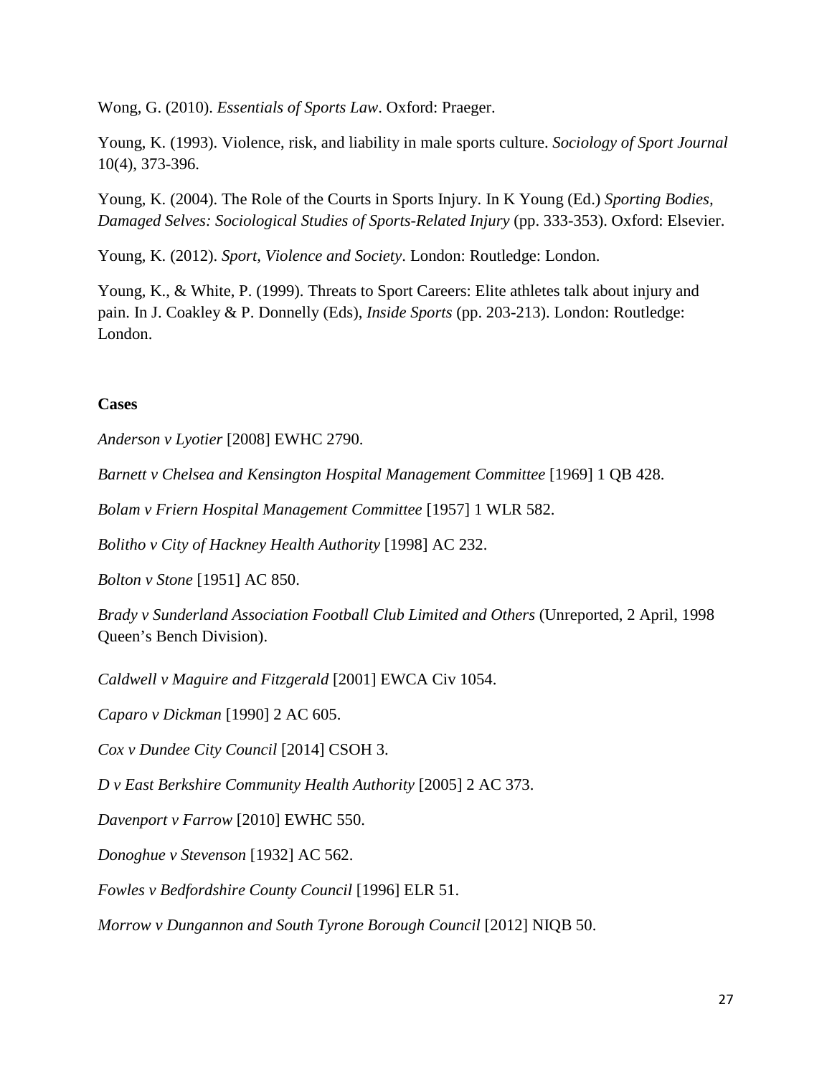Wong, G. (2010). *Essentials of Sports Law*. Oxford: Praeger.

Young, K. (1993). Violence, risk, and liability in male sports culture. *Sociology of Sport Journal* 10(4), 373-396.

Young, K. (2004). The Role of the Courts in Sports Injury. In K Young (Ed.) *Sporting Bodies, Damaged Selves: Sociological Studies of Sports-Related Injury* (pp. 333-353). Oxford: Elsevier.

Young, K. (2012). *Sport, Violence and Society*. London: Routledge: London.

Young, K., & White, P. (1999). Threats to Sport Careers: Elite athletes talk about injury and pain. In J. Coakley & P. Donnelly (Eds), *Inside Sports* (pp. 203-213). London: Routledge: London.

# **Cases**

*Anderson v Lyotier* [2008] EWHC 2790.

*Barnett v Chelsea and Kensington Hospital Management Committee* [1969] 1 QB 428.

*Bolam v Friern Hospital Management Committee* [1957] 1 WLR 582.

*Bolitho v City of Hackney Health Authority* [1998] AC 232.

*Bolton v Stone* [1951] AC 850.

*Brady v Sunderland Association Football Club Limited and Others* (Unreported, 2 April, 1998 Queen's Bench Division).

*Caldwell v Maguire and Fitzgerald* [2001] EWCA Civ 1054.

*Caparo v Dickman* [1990] 2 AC 605.

*Cox v Dundee City Council* [2014] CSOH 3.

*D v East Berkshire Community Health Authority* [2005] 2 AC 373.

*Davenport v Farrow* [2010] EWHC 550.

*Donoghue v Stevenson* [1932] AC 562.

*Fowles v Bedfordshire County Council* [1996] ELR 51.

*Morrow v Dungannon and South Tyrone Borough Council* [2012] NIQB 50.